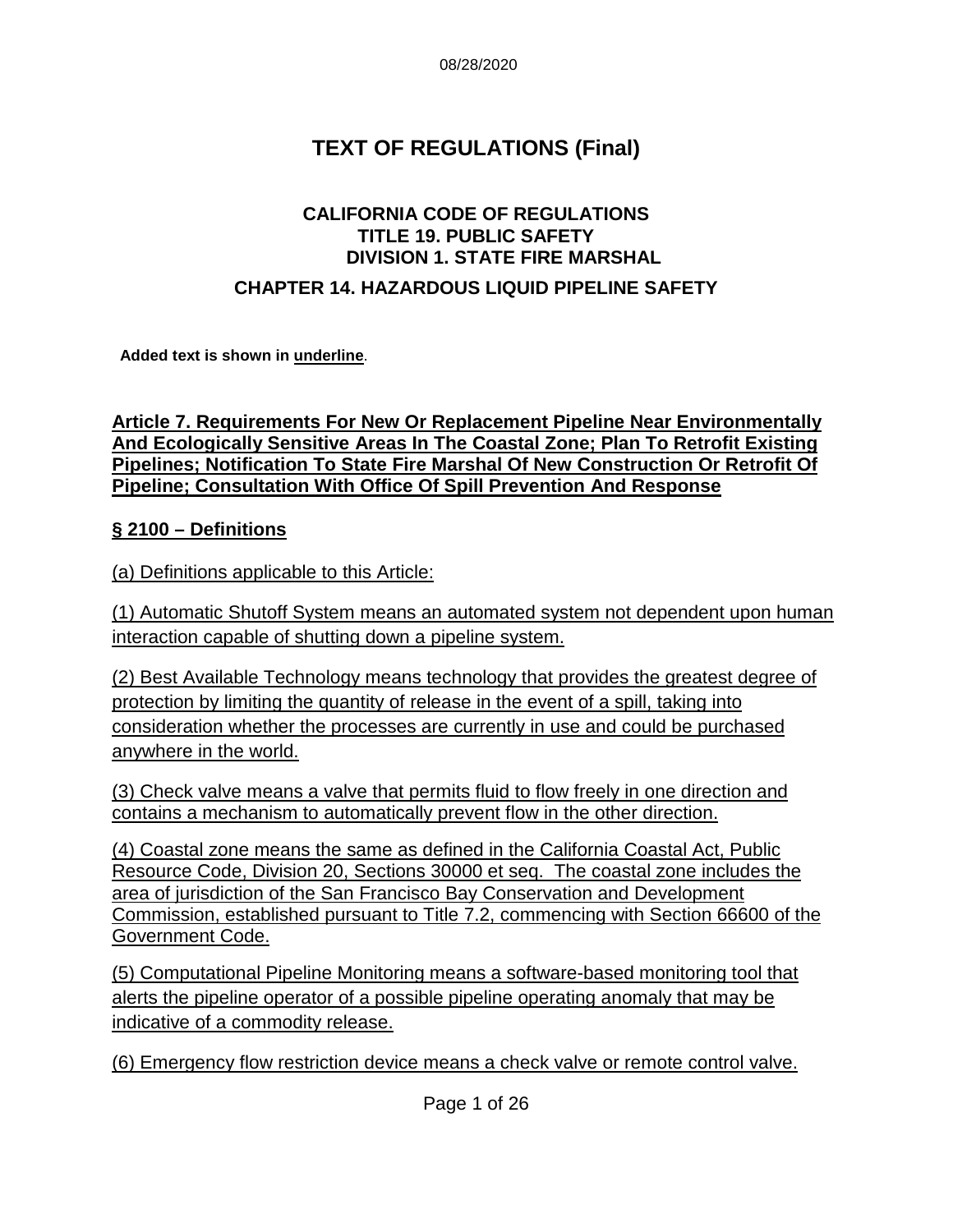08/28/2020

# **TEXT OF REGULATIONS (Final)**

### **CALIFORNIA CODE OF REGULATIONS TITLE 19. PUBLIC SAFETY DIVISION 1. STATE FIRE MARSHAL**

#### **CHAPTER 14. HAZARDOUS LIQUID PIPELINE SAFETY**

**Added text is shown in underline**.

#### **Article 7. Requirements For New Or Replacement Pipeline Near Environmentally And Ecologically Sensitive Areas In The Coastal Zone; Plan To Retrofit Existing Pipelines; Notification To State Fire Marshal Of New Construction Or Retrofit Of Pipeline; Consultation With Office Of Spill Prevention And Response**

#### **§ 2100 – Definitions**

(a) Definitions applicable to this Article:

(1) Automatic Shutoff System means an automated system not dependent upon human interaction capable of shutting down a pipeline system.

(2) Best Available Technology means technology that provides the greatest degree of protection by limiting the quantity of release in the event of a spill, taking into consideration whether the processes are currently in use and could be purchased anywhere in the world.

(3) Check valve means a valve that permits fluid to flow freely in one direction and contains a mechanism to automatically prevent flow in the other direction.

(4) Coastal zone means the same as defined in the California Coastal Act, Public Resource Code, Division 20, Sections 30000 et seq. The coastal zone includes the area of jurisdiction of the San Francisco Bay Conservation and Development Commission, established pursuant to Title 7.2, commencing with Section 66600 of the Government Code.

(5) Computational Pipeline Monitoring means a software-based monitoring tool that alerts the pipeline operator of a possible pipeline operating anomaly that may be indicative of a commodity release.

(6) Emergency flow restriction device means a check valve or remote control valve.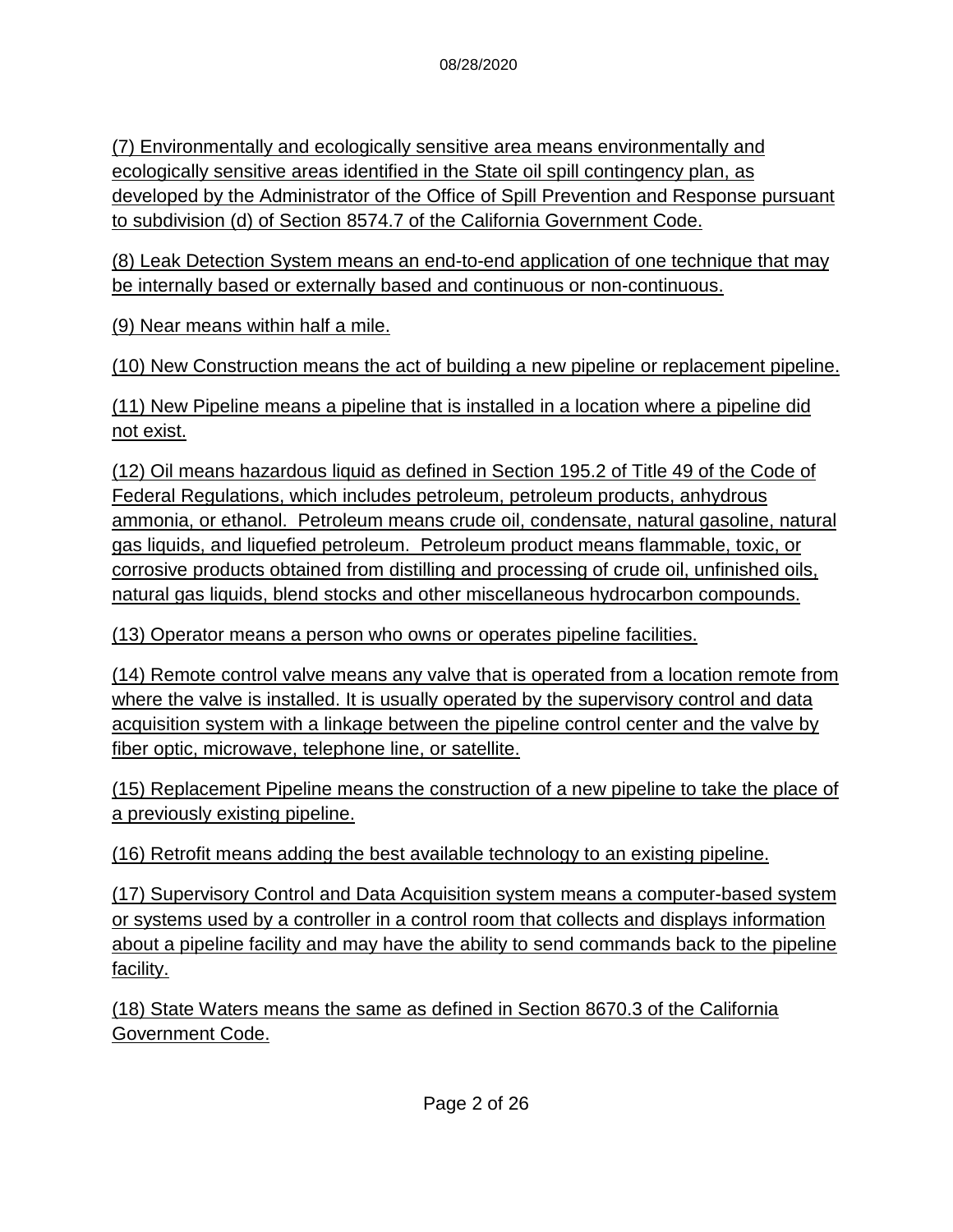(7) Environmentally and ecologically sensitive area means environmentally and ecologically sensitive areas identified in the State oil spill contingency plan, as developed by the Administrator of the Office of Spill Prevention and Response pursuant to subdivision (d) of Section 8574.7 of the California Government Code.

(8) Leak Detection System means an end-to-end application of one technique that may be internally based or externally based and continuous or non-continuous.

(9) Near means within half a mile.

(10) New Construction means the act of building a new pipeline or replacement pipeline.

(11) New Pipeline means a pipeline that is installed in a location where a pipeline did not exist.

(12) Oil means hazardous liquid as defined in Section 195.2 of Title 49 of the Code of Federal Regulations, which includes petroleum, petroleum products, anhydrous ammonia, or ethanol. Petroleum means crude oil, condensate, natural gasoline, natural gas liquids, and liquefied petroleum. Petroleum product means flammable, toxic, or corrosive products obtained from distilling and processing of crude oil, unfinished oils, natural gas liquids, blend stocks and other miscellaneous hydrocarbon compounds.

(13) Operator means a person who owns or operates pipeline facilities.

(14) Remote control valve means any valve that is operated from a location remote from where the valve is installed. It is usually operated by the supervisory control and data acquisition system with a linkage between the pipeline control center and the valve by fiber optic, microwave, telephone line, or satellite.

(15) Replacement Pipeline means the construction of a new pipeline to take the place of a previously existing pipeline.

(16) Retrofit means adding the best available technology to an existing pipeline.

(17) Supervisory Control and Data Acquisition system means a computer-based system or systems used by a controller in a control room that collects and displays information about a pipeline facility and may have the ability to send commands back to the pipeline facility.

(18) State Waters means the same as defined in Section 8670.3 of the California Government Code.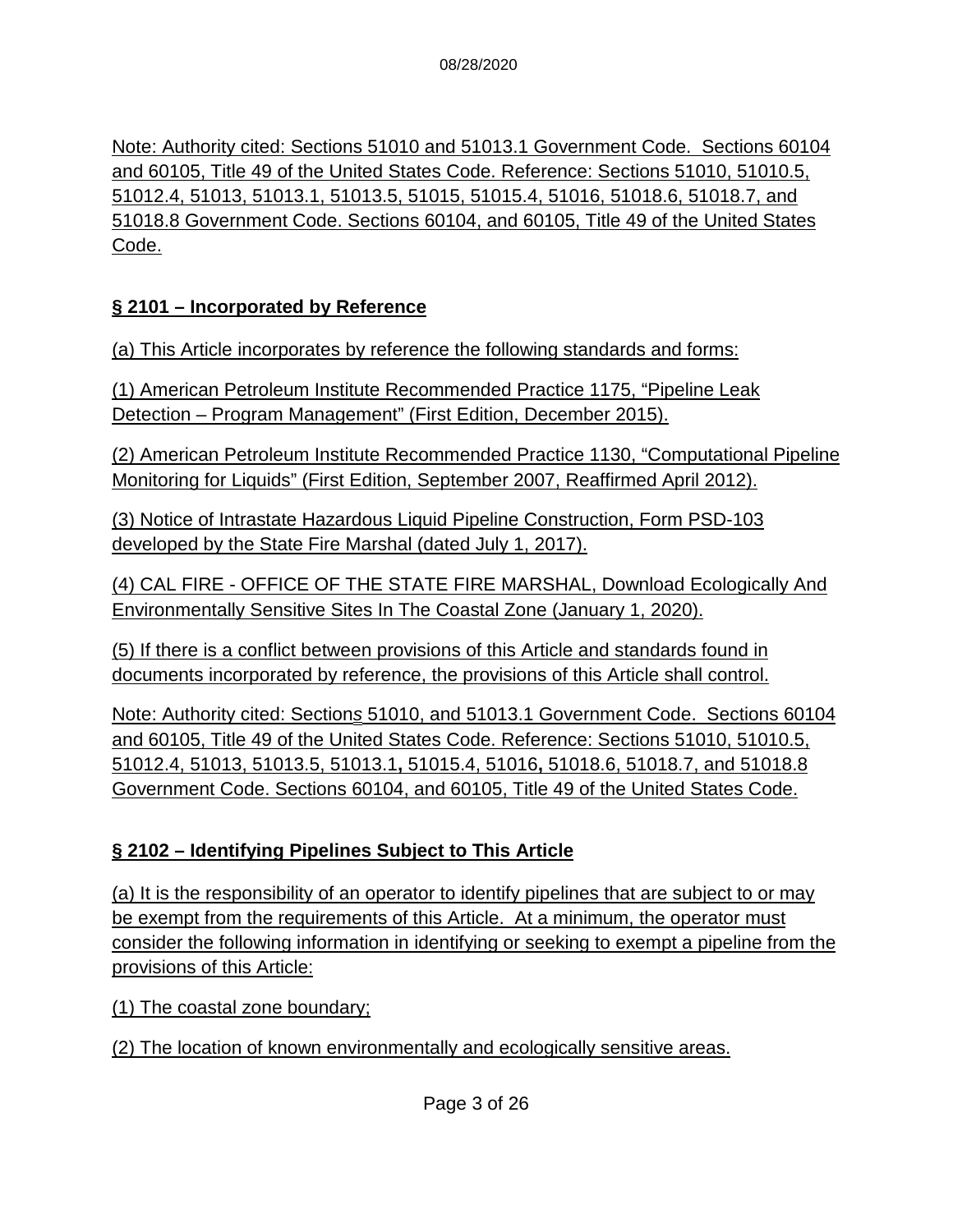Note: Authority cited: Sections 51010 and 51013.1 Government Code. Sections 60104 and 60105, Title 49 of the United States Code. Reference: Sections 51010, 51010.5, 51012.4, 51013, 51013.1, 51013.5, 51015, 51015.4, 51016, 51018.6, 51018.7, and 51018.8 Government Code. Sections 60104, and 60105, Title 49 of the United States Code.

### **§ 2101 – Incorporated by Reference**

(a) This Article incorporates by reference the following standards and forms:

(1) American Petroleum Institute Recommended Practice 1175, "Pipeline Leak Detection – Program Management" (First Edition, December 2015).

(2) American Petroleum Institute Recommended Practice 1130, "Computational Pipeline Monitoring for Liquids" (First Edition, September 2007, Reaffirmed April 2012).

(3) Notice of Intrastate Hazardous Liquid Pipeline Construction, Form PSD-103 developed by the State Fire Marshal (dated July 1, 2017).

(4) CAL FIRE - OFFICE OF THE STATE FIRE MARSHAL, Download Ecologically And Environmentally Sensitive Sites In The Coastal Zone (January 1, 2020).

(5) If there is a conflict between provisions of this Article and standards found in documents incorporated by reference, the provisions of this Article shall control.

Note: Authority cited: Section*s* 51010, and 51013.1 Government Code. Sections 60104 and 60105, Title 49 of the United States Code. Reference: Sections 51010, 51010.5, 51012.4, 51013, 51013.5, 51013.1**,** 51015.4, 51016**,** 51018.6, 51018.7, and 51018.8 Government Code. Sections 60104, and 60105, Title 49 of the United States Code.

# **§ 2102 – Identifying Pipelines Subject to This Article**

(a) It is the responsibility of an operator to identify pipelines that are subject to or may be exempt from the requirements of this Article. At a minimum, the operator must consider the following information in identifying or seeking to exempt a pipeline from the provisions of this Article:

(1) The coastal zone boundary;

(2) The location of known environmentally and ecologically sensitive areas.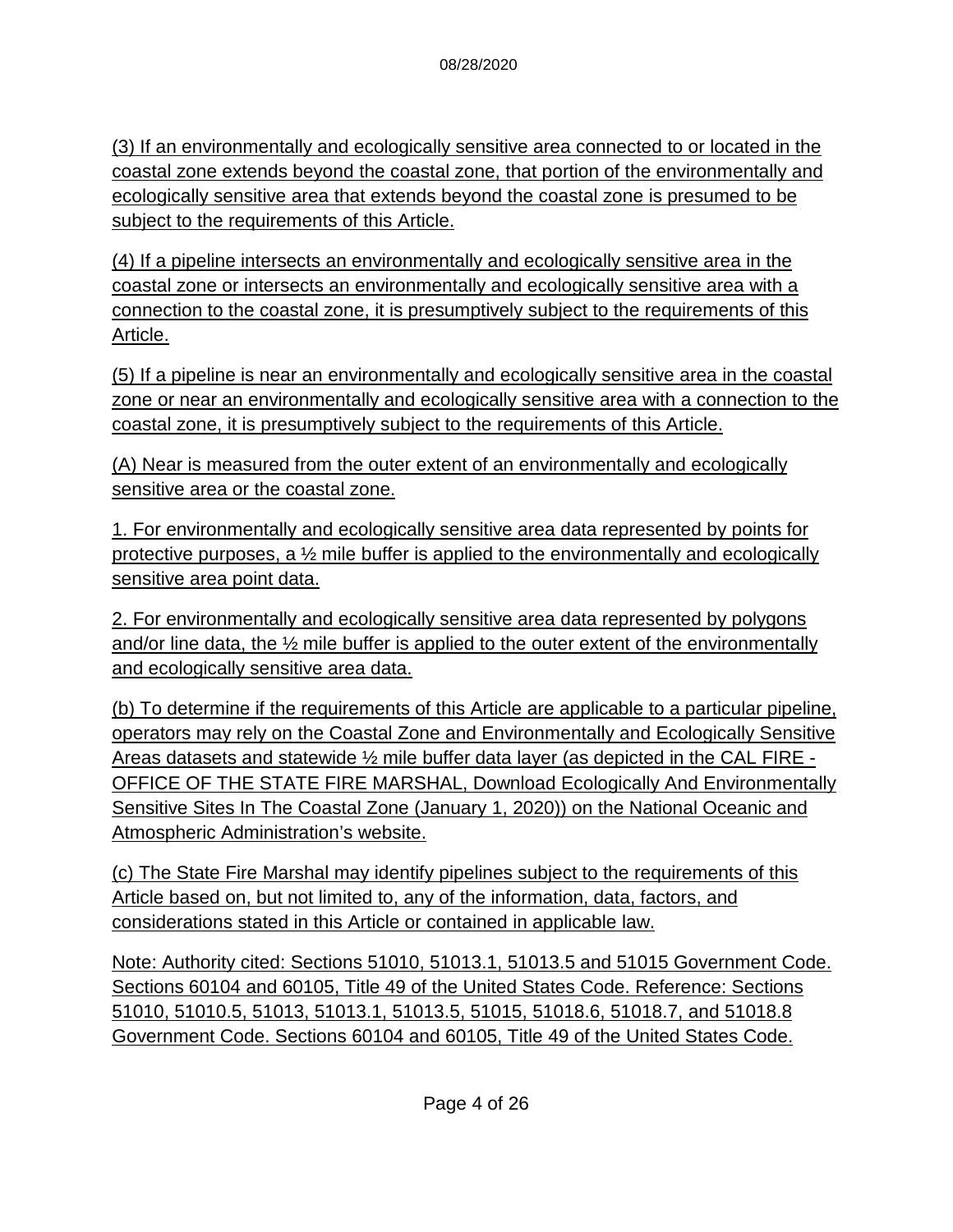(3) If an environmentally and ecologically sensitive area connected to or located in the coastal zone extends beyond the coastal zone, that portion of the environmentally and ecologically sensitive area that extends beyond the coastal zone is presumed to be subject to the requirements of this Article.

(4) If a pipeline intersects an environmentally and ecologically sensitive area in the coastal zone or intersects an environmentally and ecologically sensitive area with a connection to the coastal zone, it is presumptively subject to the requirements of this Article.

(5) If a pipeline is near an environmentally and ecologically sensitive area in the coastal zone or near an environmentally and ecologically sensitive area with a connection to the coastal zone, it is presumptively subject to the requirements of this Article.

(A) Near is measured from the outer extent of an environmentally and ecologically sensitive area or the coastal zone.

1. For environmentally and ecologically sensitive area data represented by points for protective purposes, a  $\frac{1}{2}$  mile buffer is applied to the environmentally and ecologically sensitive area point data.

2. For environmentally and ecologically sensitive area data represented by polygons and/or line data, the ½ mile buffer is applied to the outer extent of the environmentally and ecologically sensitive area data.

(b) To determine if the requirements of this Article are applicable to a particular pipeline, operators may rely on the Coastal Zone and Environmentally and Ecologically Sensitive Areas datasets and statewide ½ mile buffer data layer (as depicted in the CAL FIRE - OFFICE OF THE STATE FIRE MARSHAL, Download Ecologically And Environmentally Sensitive Sites In The Coastal Zone (January 1, 2020)) on the National Oceanic and Atmospheric Administration's website.

(c) The State Fire Marshal may identify pipelines subject to the requirements of this Article based on, but not limited to, any of the information, data, factors, and considerations stated in this Article or contained in applicable law.

Note: Authority cited: Sections 51010, 51013.1, 51013.5 and 51015 Government Code. Sections 60104 and 60105, Title 49 of the United States Code. Reference: Sections 51010, 51010.5, 51013, 51013.1, 51013.5, 51015, 51018.6, 51018.7, and 51018.8 Government Code. Sections 60104 and 60105, Title 49 of the United States Code.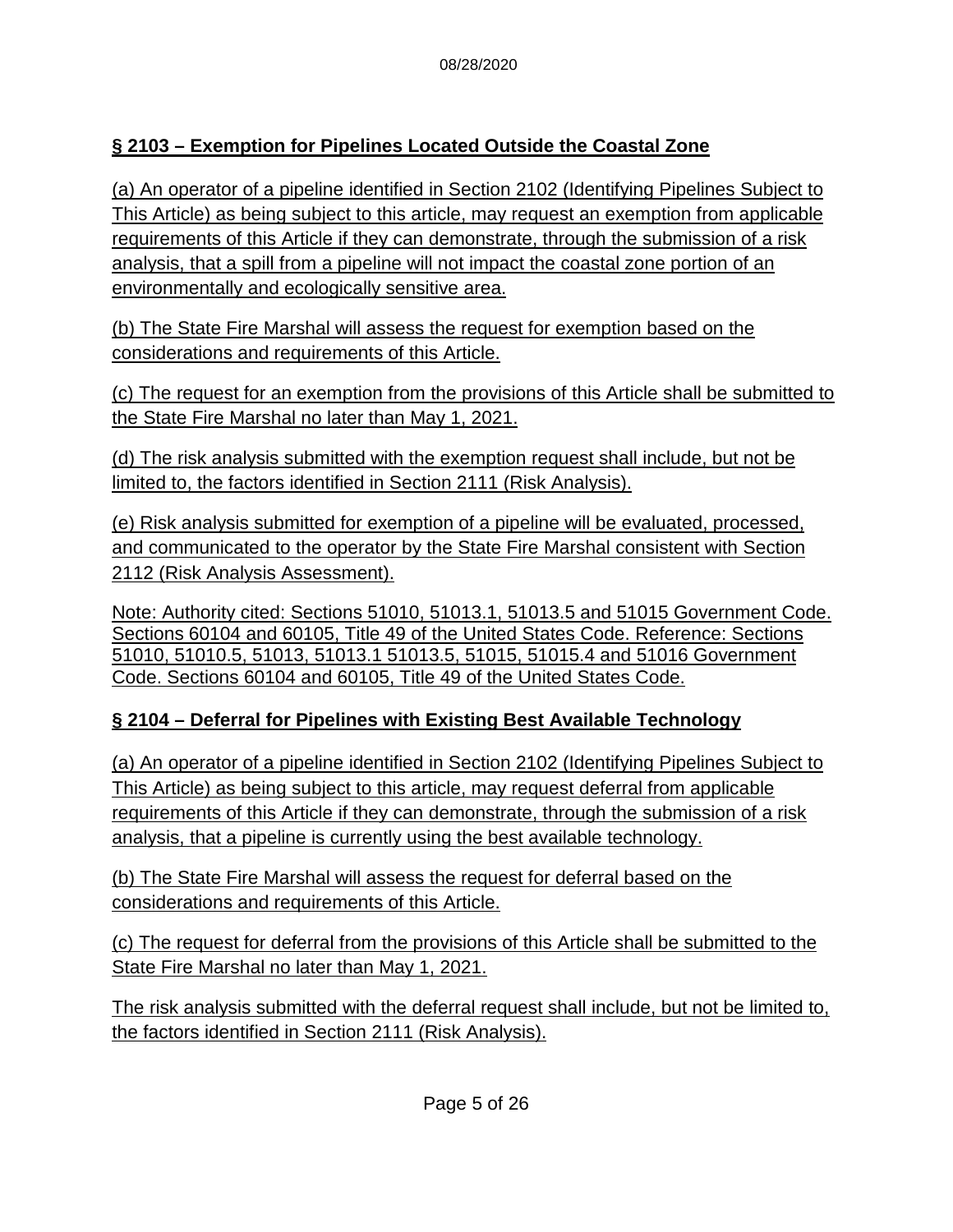### **§ 2103 – Exemption for Pipelines Located Outside the Coastal Zone**

(a) An operator of a pipeline identified in Section 2102 (Identifying Pipelines Subject to This Article) as being subject to this article, may request an exemption from applicable requirements of this Article if they can demonstrate, through the submission of a risk analysis, that a spill from a pipeline will not impact the coastal zone portion of an environmentally and ecologically sensitive area.

(b) The State Fire Marshal will assess the request for exemption based on the considerations and requirements of this Article.

(c) The request for an exemption from the provisions of this Article shall be submitted to the State Fire Marshal no later than May 1, 2021.

(d) The risk analysis submitted with the exemption request shall include, but not be limited to, the factors identified in Section 2111 (Risk Analysis).

(e) Risk analysis submitted for exemption of a pipeline will be evaluated, processed, and communicated to the operator by the State Fire Marshal consistent with Section 2112 (Risk Analysis Assessment).

Note: Authority cited: Sections 51010, 51013.1, 51013.5 and 51015 Government Code. Sections 60104 and 60105, Title 49 of the United States Code. Reference: Sections 51010, 51010.5, 51013, 51013.1 51013.5, 51015, 51015.4 and 51016 Government Code. Sections 60104 and 60105, Title 49 of the United States Code.

### **§ 2104 – Deferral for Pipelines with Existing Best Available Technology**

(a) An operator of a pipeline identified in Section 2102 (Identifying Pipelines Subject to This Article) as being subject to this article, may request deferral from applicable requirements of this Article if they can demonstrate, through the submission of a risk analysis, that a pipeline is currently using the best available technology.

(b) The State Fire Marshal will assess the request for deferral based on the considerations and requirements of this Article.

(c) The request for deferral from the provisions of this Article shall be submitted to the State Fire Marshal no later than May 1, 2021.

The risk analysis submitted with the deferral request shall include, but not be limited to, the factors identified in Section 2111 (Risk Analysis).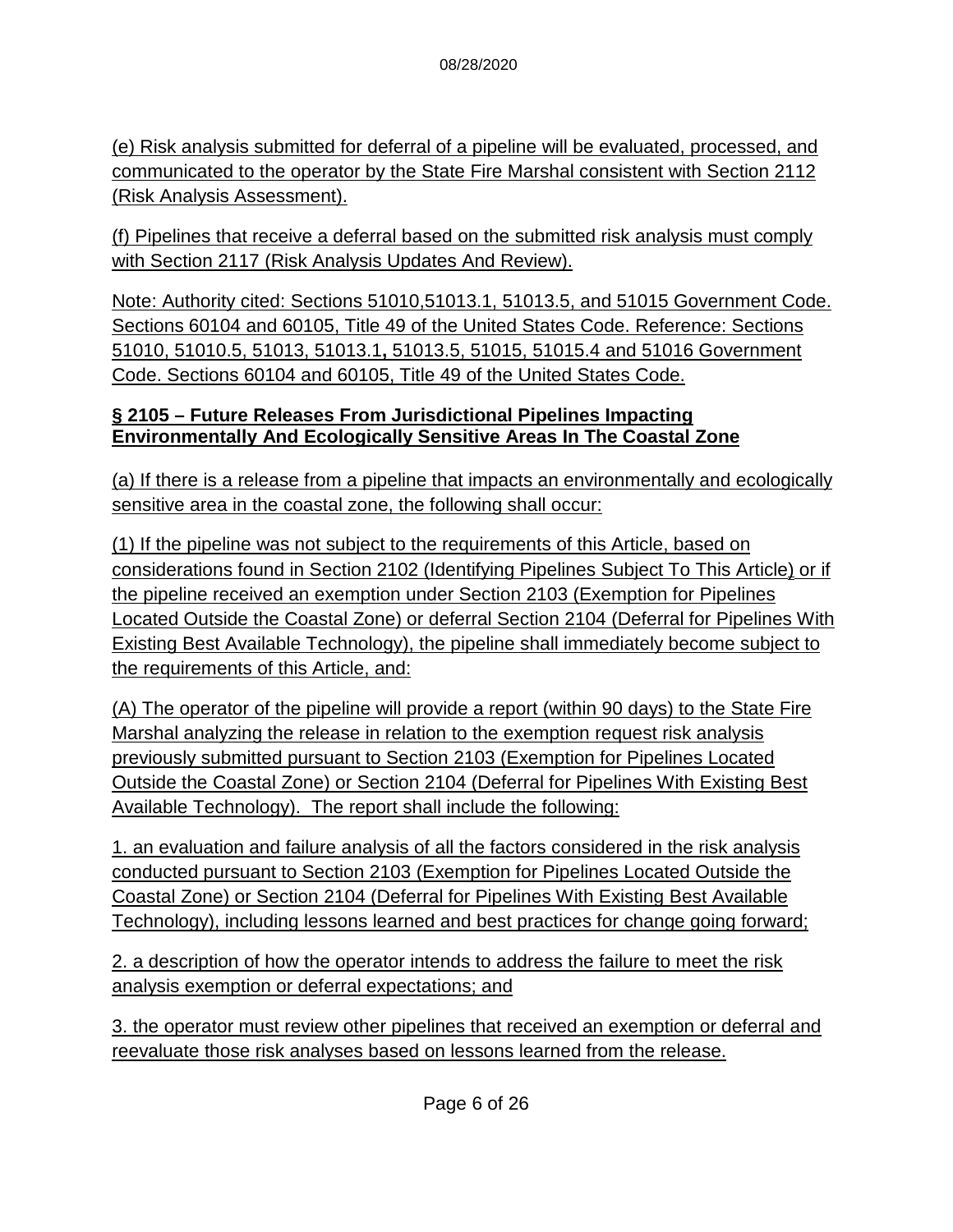(e) Risk analysis submitted for deferral of a pipeline will be evaluated, processed, and communicated to the operator by the State Fire Marshal consistent with Section 2112 (Risk Analysis Assessment).

(f) Pipelines that receive a deferral based on the submitted risk analysis must comply with Section 2117 (Risk Analysis Updates And Review).

Note: Authority cited: Sections 51010,51013.1, 51013.5, and 51015 Government Code. Sections 60104 and 60105, Title 49 of the United States Code. Reference: Sections 51010, 51010.5, 51013, 51013.1**,** 51013.5, 51015, 51015.4 and 51016 Government Code. Sections 60104 and 60105, Title 49 of the United States Code.

#### **§ 2105 – Future Releases From Jurisdictional Pipelines Impacting Environmentally And Ecologically Sensitive Areas In The Coastal Zone**

(a) If there is a release from a pipeline that impacts an environmentally and ecologically sensitive area in the coastal zone, the following shall occur:

(1) If the pipeline was not subject to the requirements of this Article, based on considerations found in Section 2102 (Identifying Pipelines Subject To This Article) or if the pipeline received an exemption under Section 2103 (Exemption for Pipelines Located Outside the Coastal Zone) or deferral Section 2104 (Deferral for Pipelines With Existing Best Available Technology), the pipeline shall immediately become subject to the requirements of this Article, and:

(A) The operator of the pipeline will provide a report (within 90 days) to the State Fire Marshal analyzing the release in relation to the exemption request risk analysis previously submitted pursuant to Section 2103 (Exemption for Pipelines Located Outside the Coastal Zone) or Section 2104 (Deferral for Pipelines With Existing Best Available Technology). The report shall include the following:

1. an evaluation and failure analysis of all the factors considered in the risk analysis conducted pursuant to Section 2103 (Exemption for Pipelines Located Outside the Coastal Zone) or Section 2104 (Deferral for Pipelines With Existing Best Available Technology), including lessons learned and best practices for change going forward;

2. a description of how the operator intends to address the failure to meet the risk analysis exemption or deferral expectations; and

3. the operator must review other pipelines that received an exemption or deferral and reevaluate those risk analyses based on lessons learned from the release.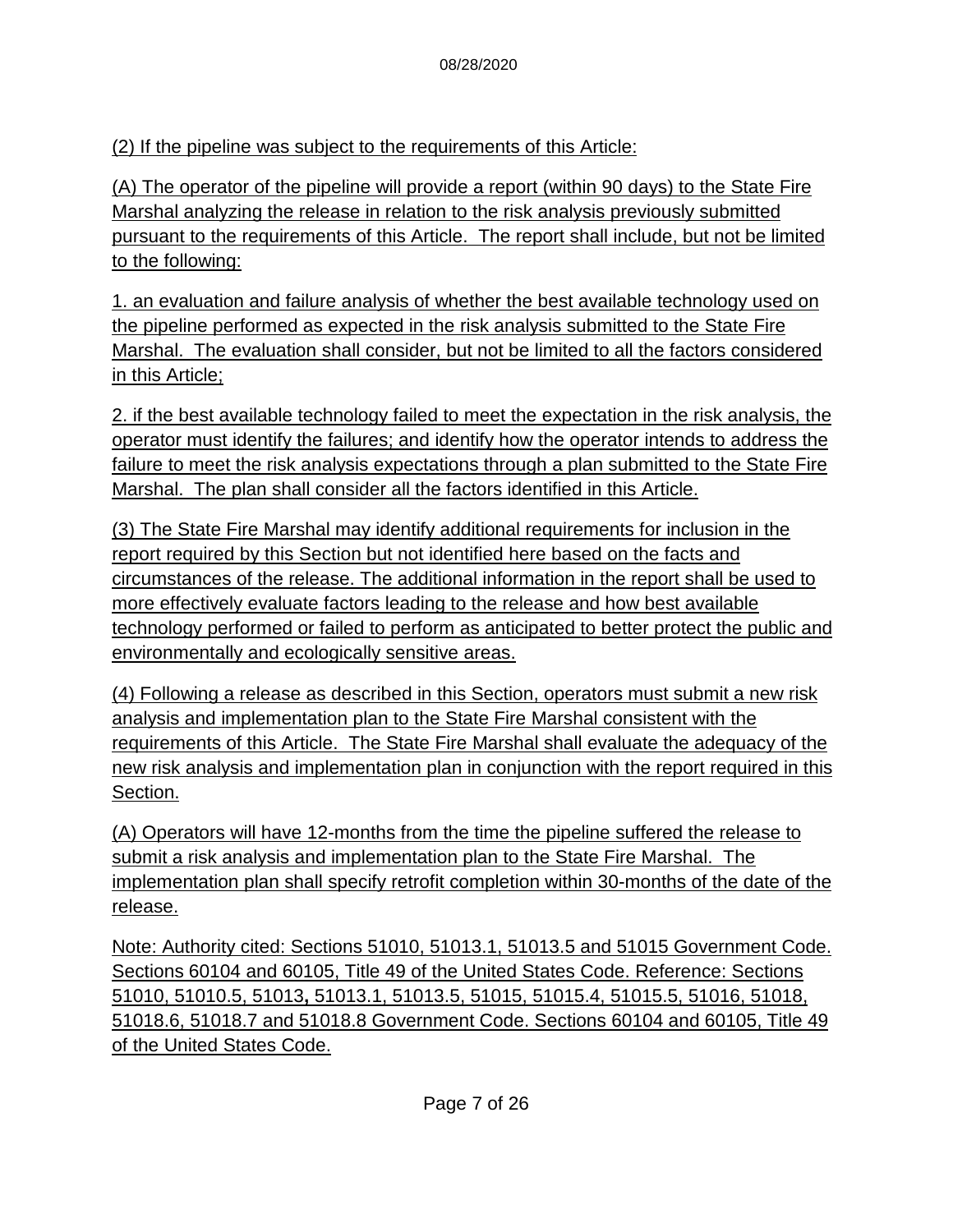(2) If the pipeline was subject to the requirements of this Article:

(A) The operator of the pipeline will provide a report (within 90 days) to the State Fire Marshal analyzing the release in relation to the risk analysis previously submitted pursuant to the requirements of this Article. The report shall include, but not be limited to the following:

1. an evaluation and failure analysis of whether the best available technology used on the pipeline performed as expected in the risk analysis submitted to the State Fire Marshal. The evaluation shall consider, but not be limited to all the factors considered in this Article;

2. if the best available technology failed to meet the expectation in the risk analysis, the operator must identify the failures; and identify how the operator intends to address the failure to meet the risk analysis expectations through a plan submitted to the State Fire Marshal. The plan shall consider all the factors identified in this Article.

(3) The State Fire Marshal may identify additional requirements for inclusion in the report required by this Section but not identified here based on the facts and circumstances of the release. The additional information in the report shall be used to more effectively evaluate factors leading to the release and how best available technology performed or failed to perform as anticipated to better protect the public and environmentally and ecologically sensitive areas.

(4) Following a release as described in this Section, operators must submit a new risk analysis and implementation plan to the State Fire Marshal consistent with the requirements of this Article. The State Fire Marshal shall evaluate the adequacy of the new risk analysis and implementation plan in conjunction with the report required in this Section.

(A) Operators will have 12-months from the time the pipeline suffered the release to submit a risk analysis and implementation plan to the State Fire Marshal. The implementation plan shall specify retrofit completion within 30-months of the date of the release.

Note: Authority cited: Sections 51010, 51013.1, 51013.5 and 51015 Government Code. Sections 60104 and 60105, Title 49 of the United States Code. Reference: Sections 51010, 51010.5, 51013**,** 51013.1, 51013.5, 51015, 51015.4, 51015.5, 51016, 51018, 51018.6, 51018.7 and 51018.8 Government Code. Sections 60104 and 60105, Title 49 of the United States Code.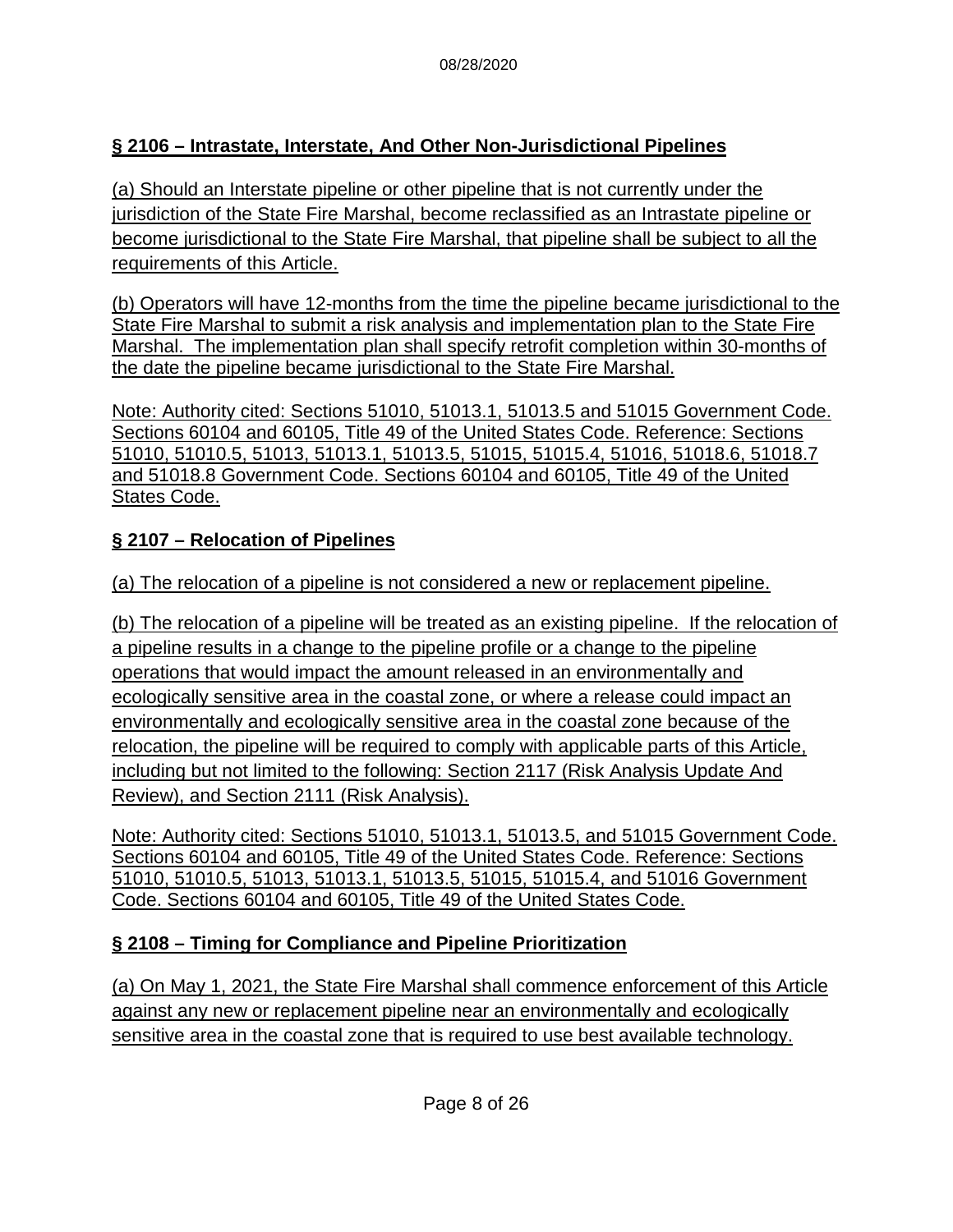### **§ 2106 – Intrastate, Interstate, And Other Non-Jurisdictional Pipelines**

(a) Should an Interstate pipeline or other pipeline that is not currently under the jurisdiction of the State Fire Marshal, become reclassified as an Intrastate pipeline or become jurisdictional to the State Fire Marshal, that pipeline shall be subject to all the requirements of this Article.

(b) Operators will have 12-months from the time the pipeline became jurisdictional to the State Fire Marshal to submit a risk analysis and implementation plan to the State Fire Marshal. The implementation plan shall specify retrofit completion within 30-months of the date the pipeline became jurisdictional to the State Fire Marshal.

Note: Authority cited: Sections 51010, 51013.1, 51013.5 and 51015 Government Code. Sections 60104 and 60105, Title 49 of the United States Code. Reference: Sections 51010, 51010.5, 51013, 51013.1, 51013.5, 51015, 51015.4, 51016, 51018.6, 51018.7 and 51018.8 Government Code. Sections 60104 and 60105, Title 49 of the United States Code.

### **§ 2107 – Relocation of Pipelines**

(a) The relocation of a pipeline is not considered a new or replacement pipeline.

(b) The relocation of a pipeline will be treated as an existing pipeline. If the relocation of a pipeline results in a change to the pipeline profile or a change to the pipeline operations that would impact the amount released in an environmentally and ecologically sensitive area in the coastal zone, or where a release could impact an environmentally and ecologically sensitive area in the coastal zone because of the relocation, the pipeline will be required to comply with applicable parts of this Article, including but not limited to the following: Section 2117 (Risk Analysis Update And Review), and Section 2111 (Risk Analysis).

Note: Authority cited: Sections 51010, 51013.1, 51013.5, and 51015 Government Code. Sections 60104 and 60105, Title 49 of the United States Code. Reference: Sections 51010, 51010.5, 51013, 51013.1, 51013.5, 51015, 51015.4, and 51016 Government Code. Sections 60104 and 60105, Title 49 of the United States Code.

### **§ 2108 – Timing for Compliance and Pipeline Prioritization**

(a) On May 1, 2021, the State Fire Marshal shall commence enforcement of this Article against any new or replacement pipeline near an environmentally and ecologically sensitive area in the coastal zone that is required to use best available technology.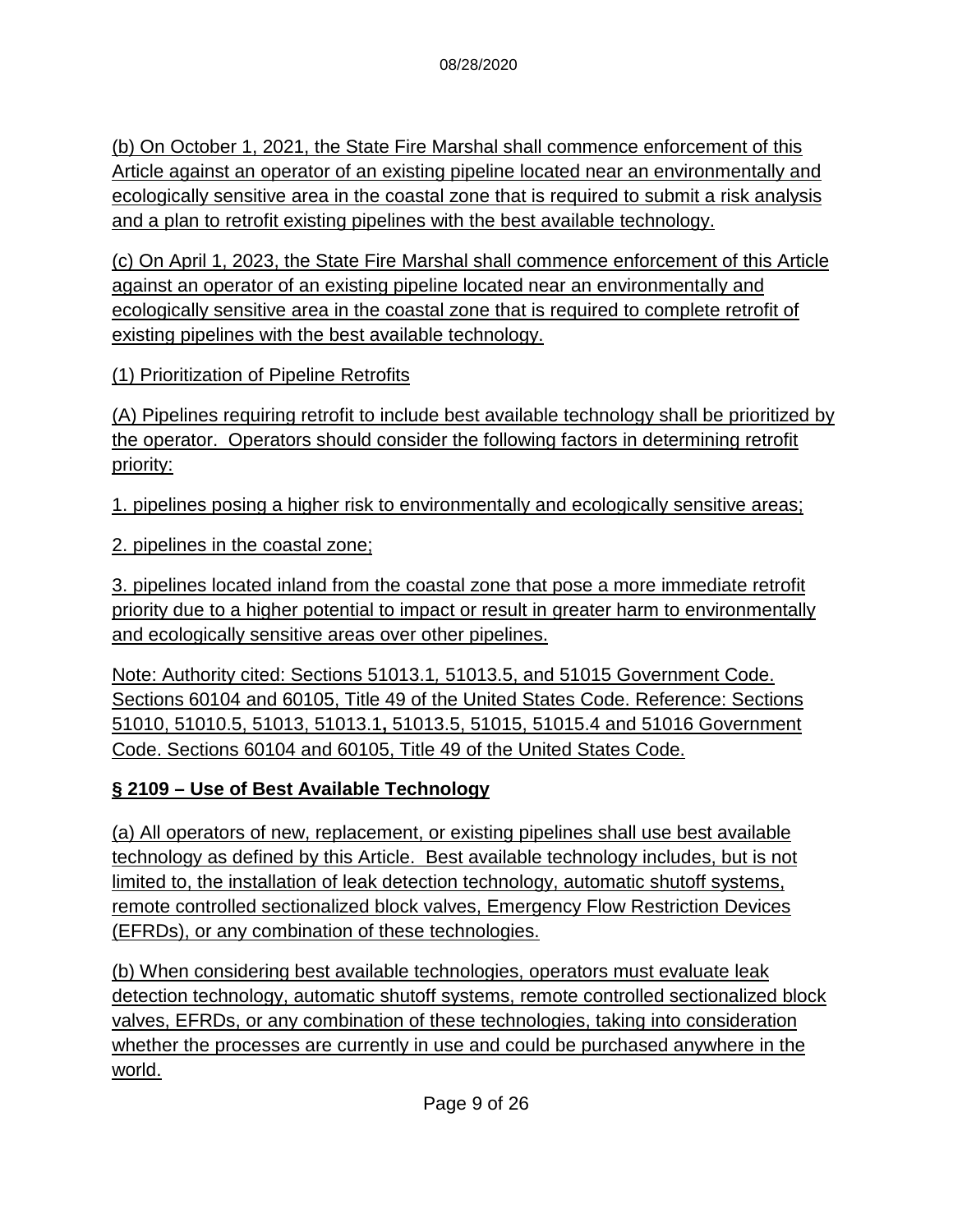(b) On October 1, 2021, the State Fire Marshal shall commence enforcement of this Article against an operator of an existing pipeline located near an environmentally and ecologically sensitive area in the coastal zone that is required to submit a risk analysis and a plan to retrofit existing pipelines with the best available technology.

(c) On April 1, 2023, the State Fire Marshal shall commence enforcement of this Article against an operator of an existing pipeline located near an environmentally and ecologically sensitive area in the coastal zone that is required to complete retrofit of existing pipelines with the best available technology.

(1) Prioritization of Pipeline Retrofits

(A) Pipelines requiring retrofit to include best available technology shall be prioritized by the operator. Operators should consider the following factors in determining retrofit priority:

1. pipelines posing a higher risk to environmentally and ecologically sensitive areas;

2. pipelines in the coastal zone;

3. pipelines located inland from the coastal zone that pose a more immediate retrofit priority due to a higher potential to impact or result in greater harm to environmentally and ecologically sensitive areas over other pipelines.

Note: Authority cited: Sections 51013.1*,* 51013.5, and 51015 Government Code. Sections 60104 and 60105, Title 49 of the United States Code. Reference: Sections 51010, 51010.5, 51013, 51013.1**,** 51013.5, 51015, 51015.4 and 51016 Government Code. Sections 60104 and 60105, Title 49 of the United States Code.

### **§ 2109 – Use of Best Available Technology**

(a) All operators of new, replacement, or existing pipelines shall use best available technology as defined by this Article. Best available technology includes, but is not limited to, the installation of leak detection technology, automatic shutoff systems, remote controlled sectionalized block valves, Emergency Flow Restriction Devices (EFRDs), or any combination of these technologies.

(b) When considering best available technologies, operators must evaluate leak detection technology, automatic shutoff systems, remote controlled sectionalized block valves, EFRDs, or any combination of these technologies, taking into consideration whether the processes are currently in use and could be purchased anywhere in the world.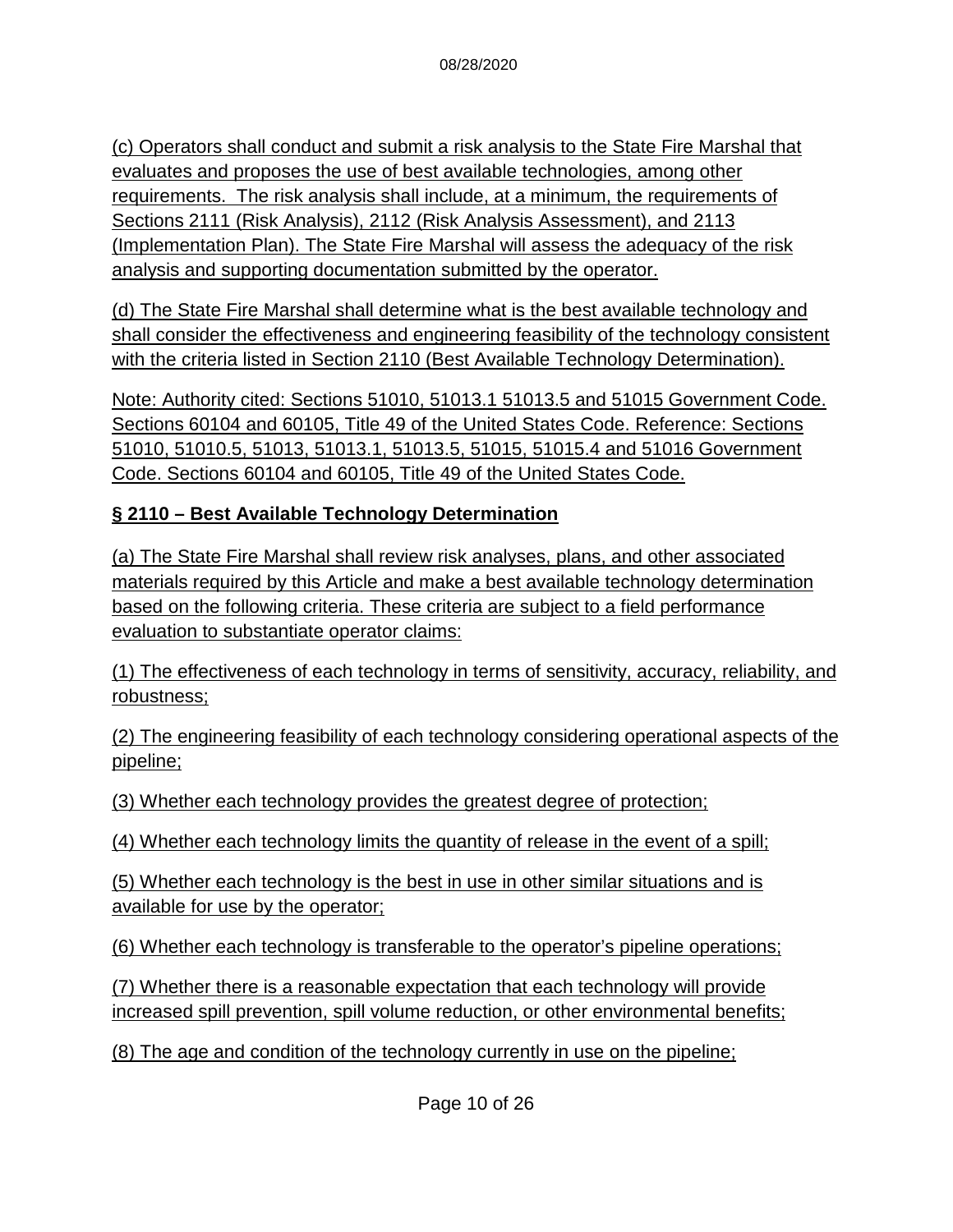(c) Operators shall conduct and submit a risk analysis to the State Fire Marshal that evaluates and proposes the use of best available technologies, among other requirements. The risk analysis shall include, at a minimum, the requirements of Sections 2111 (Risk Analysis), 2112 (Risk Analysis Assessment), and 2113 (Implementation Plan). The State Fire Marshal will assess the adequacy of the risk analysis and supporting documentation submitted by the operator.

(d) The State Fire Marshal shall determine what is the best available technology and shall consider the effectiveness and engineering feasibility of the technology consistent with the criteria listed in Section 2110 (Best Available Technology Determination).

Note: Authority cited: Sections 51010, 51013.1 51013.5 and 51015 Government Code. Sections 60104 and 60105, Title 49 of the United States Code. Reference: Sections 51010, 51010.5, 51013, 51013.1, 51013.5, 51015, 51015.4 and 51016 Government Code. Sections 60104 and 60105, Title 49 of the United States Code.

#### **§ 2110 – Best Available Technology Determination**

(a) The State Fire Marshal shall review risk analyses, plans, and other associated materials required by this Article and make a best available technology determination based on the following criteria. These criteria are subject to a field performance evaluation to substantiate operator claims:

(1) The effectiveness of each technology in terms of sensitivity, accuracy, reliability, and robustness;

(2) The engineering feasibility of each technology considering operational aspects of the pipeline;

(3) Whether each technology provides the greatest degree of protection;

(4) Whether each technology limits the quantity of release in the event of a spill;

(5) Whether each technology is the best in use in other similar situations and is available for use by the operator;

(6) Whether each technology is transferable to the operator's pipeline operations;

(7) Whether there is a reasonable expectation that each technology will provide increased spill prevention, spill volume reduction, or other environmental benefits;

(8) The age and condition of the technology currently in use on the pipeline;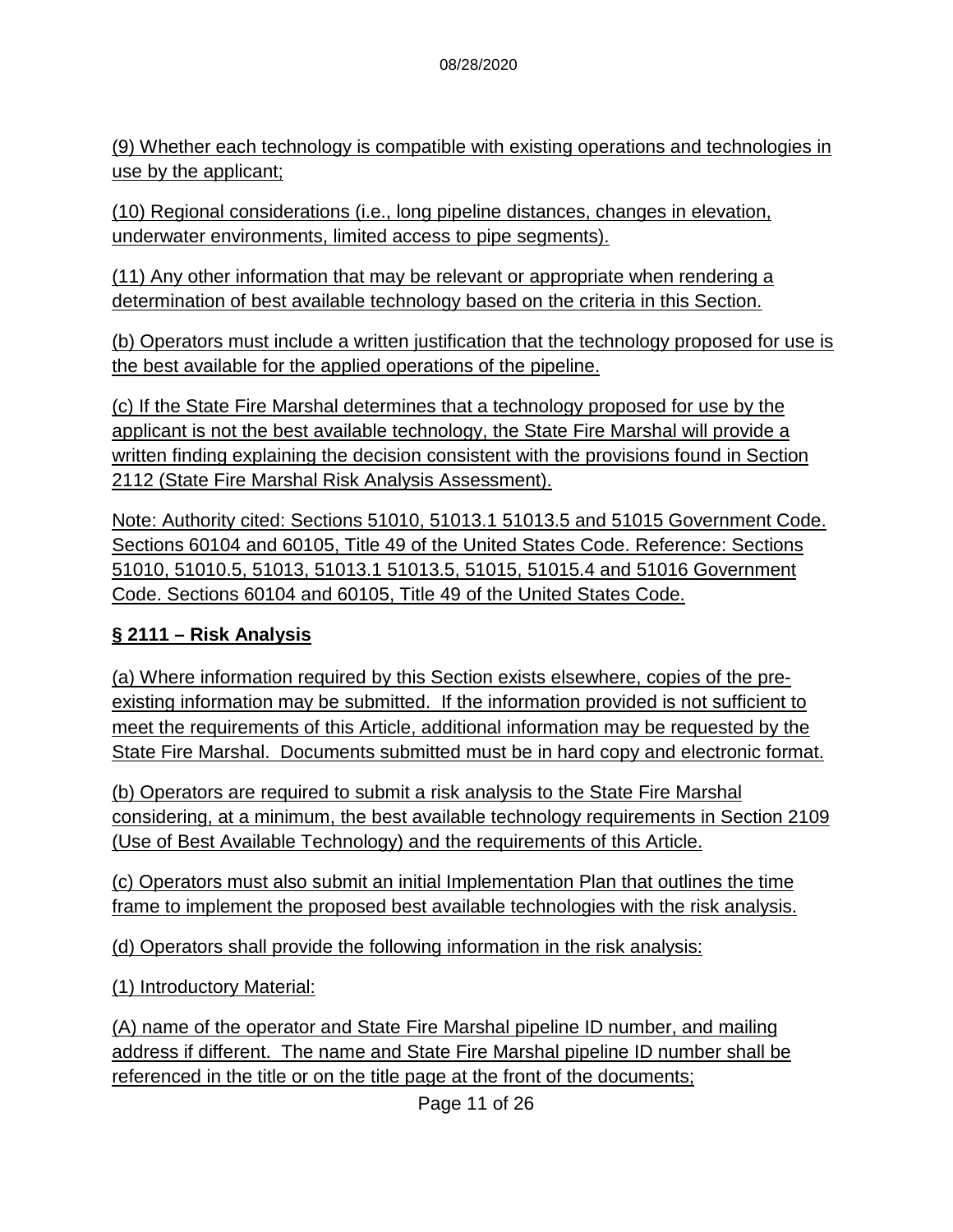(9) Whether each technology is compatible with existing operations and technologies in use by the applicant;

(10) Regional considerations (i.e., long pipeline distances, changes in elevation, underwater environments, limited access to pipe segments).

(11) Any other information that may be relevant or appropriate when rendering a determination of best available technology based on the criteria in this Section.

(b) Operators must include a written justification that the technology proposed for use is the best available for the applied operations of the pipeline.

(c) If the State Fire Marshal determines that a technology proposed for use by the applicant is not the best available technology, the State Fire Marshal will provide a written finding explaining the decision consistent with the provisions found in Section 2112 (State Fire Marshal Risk Analysis Assessment).

Note: Authority cited: Sections 51010, 51013.1 51013.5 and 51015 Government Code. Sections 60104 and 60105, Title 49 of the United States Code. Reference: Sections 51010, 51010.5, 51013, 51013.1 51013.5, 51015, 51015.4 and 51016 Government Code. Sections 60104 and 60105, Title 49 of the United States Code.

### **§ 2111 – Risk Analysis**

(a) Where information required by this Section exists elsewhere, copies of the preexisting information may be submitted. If the information provided is not sufficient to meet the requirements of this Article, additional information may be requested by the State Fire Marshal. Documents submitted must be in hard copy and electronic format.

(b) Operators are required to submit a risk analysis to the State Fire Marshal considering, at a minimum, the best available technology requirements in Section 2109 (Use of Best Available Technology) and the requirements of this Article.

(c) Operators must also submit an initial Implementation Plan that outlines the time frame to implement the proposed best available technologies with the risk analysis.

(d) Operators shall provide the following information in the risk analysis:

(1) Introductory Material:

(A) name of the operator and State Fire Marshal pipeline ID number, and mailing address if different. The name and State Fire Marshal pipeline ID number shall be referenced in the title or on the title page at the front of the documents;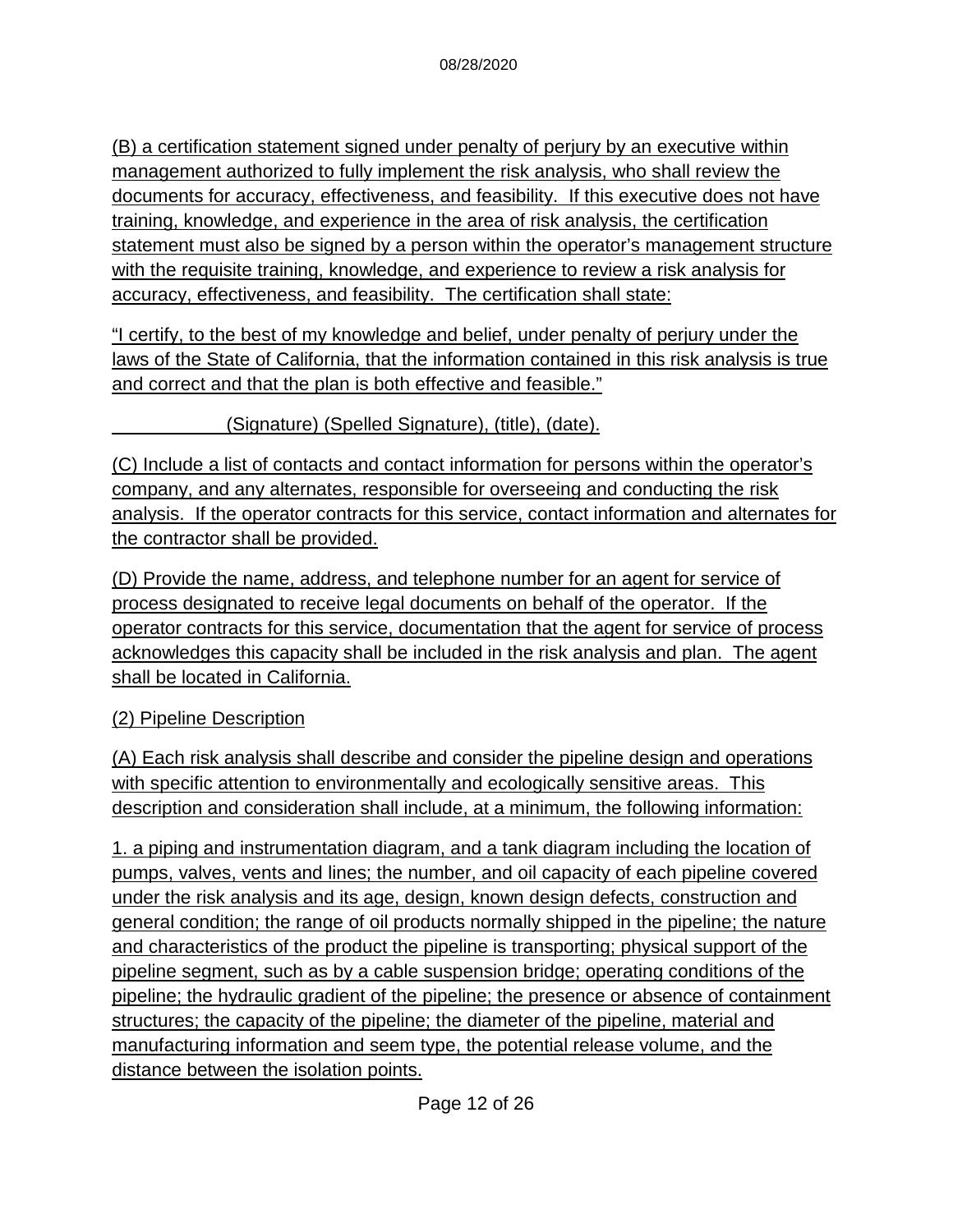(B) a certification statement signed under penalty of perjury by an executive within management authorized to fully implement the risk analysis, who shall review the documents for accuracy, effectiveness, and feasibility. If this executive does not have training, knowledge, and experience in the area of risk analysis, the certification statement must also be signed by a person within the operator's management structure with the requisite training, knowledge, and experience to review a risk analysis for accuracy, effectiveness, and feasibility. The certification shall state:

"I certify, to the best of my knowledge and belief, under penalty of perjury under the laws of the State of California, that the information contained in this risk analysis is true and correct and that the plan is both effective and feasible."

#### \_\_\_\_\_\_\_\_\_\_\_(Signature) (Spelled Signature), (title), (date).

(C) Include a list of contacts and contact information for persons within the operator's company, and any alternates, responsible for overseeing and conducting the risk analysis. If the operator contracts for this service, contact information and alternates for the contractor shall be provided.

(D) Provide the name, address, and telephone number for an agent for service of process designated to receive legal documents on behalf of the operator. If the operator contracts for this service, documentation that the agent for service of process acknowledges this capacity shall be included in the risk analysis and plan. The agent shall be located in California.

### (2) Pipeline Description

(A) Each risk analysis shall describe and consider the pipeline design and operations with specific attention to environmentally and ecologically sensitive areas. This description and consideration shall include, at a minimum, the following information:

1. a piping and instrumentation diagram, and a tank diagram including the location of pumps, valves, vents and lines; the number, and oil capacity of each pipeline covered under the risk analysis and its age, design, known design defects, construction and general condition; the range of oil products normally shipped in the pipeline; the nature and characteristics of the product the pipeline is transporting; physical support of the pipeline segment, such as by a cable suspension bridge; operating conditions of the pipeline; the hydraulic gradient of the pipeline; the presence or absence of containment structures; the capacity of the pipeline; the diameter of the pipeline, material and manufacturing information and seem type, the potential release volume, and the distance between the isolation points.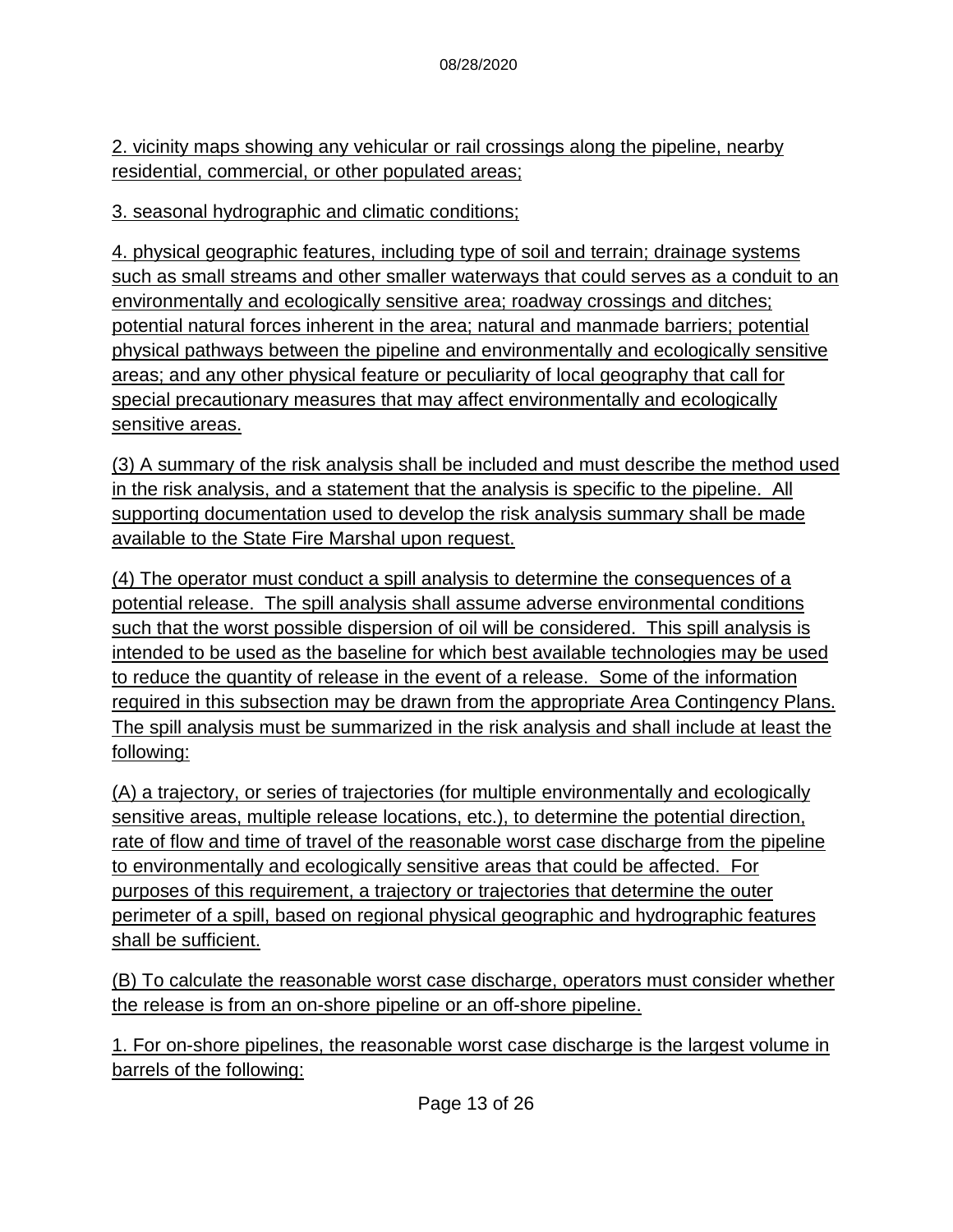2. vicinity maps showing any vehicular or rail crossings along the pipeline, nearby residential, commercial, or other populated areas;

3. seasonal hydrographic and climatic conditions;

4. physical geographic features, including type of soil and terrain; drainage systems such as small streams and other smaller waterways that could serves as a conduit to an environmentally and ecologically sensitive area; roadway crossings and ditches; potential natural forces inherent in the area; natural and manmade barriers; potential physical pathways between the pipeline and environmentally and ecologically sensitive areas; and any other physical feature or peculiarity of local geography that call for special precautionary measures that may affect environmentally and ecologically sensitive areas.

(3) A summary of the risk analysis shall be included and must describe the method used in the risk analysis, and a statement that the analysis is specific to the pipeline. All supporting documentation used to develop the risk analysis summary shall be made available to the State Fire Marshal upon request.

(4) The operator must conduct a spill analysis to determine the consequences of a potential release. The spill analysis shall assume adverse environmental conditions such that the worst possible dispersion of oil will be considered. This spill analysis is intended to be used as the baseline for which best available technologies may be used to reduce the quantity of release in the event of a release. Some of the information required in this subsection may be drawn from the appropriate Area Contingency Plans. The spill analysis must be summarized in the risk analysis and shall include at least the following:

(A) a trajectory, or series of trajectories (for multiple environmentally and ecologically sensitive areas, multiple release locations, etc.), to determine the potential direction, rate of flow and time of travel of the reasonable worst case discharge from the pipeline to environmentally and ecologically sensitive areas that could be affected. For purposes of this requirement, a trajectory or trajectories that determine the outer perimeter of a spill, based on regional physical geographic and hydrographic features shall be sufficient.

(B) To calculate the reasonable worst case discharge, operators must consider whether the release is from an on-shore pipeline or an off-shore pipeline.

1. For on-shore pipelines, the reasonable worst case discharge is the largest volume in barrels of the following: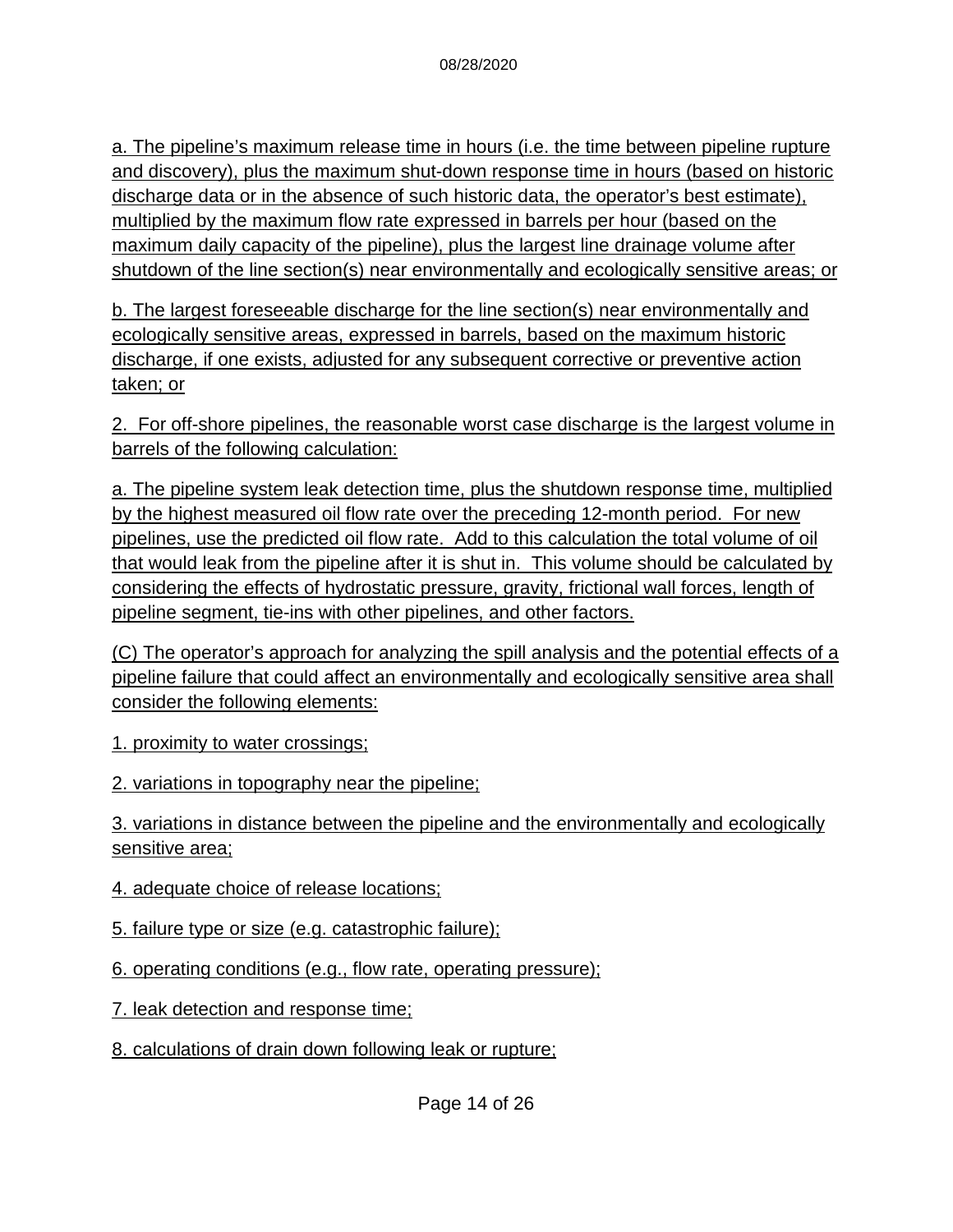a. The pipeline's maximum release time in hours (i.e. the time between pipeline rupture and discovery), plus the maximum shut-down response time in hours (based on historic discharge data or in the absence of such historic data, the operator's best estimate), multiplied by the maximum flow rate expressed in barrels per hour (based on the maximum daily capacity of the pipeline), plus the largest line drainage volume after shutdown of the line section(s) near environmentally and ecologically sensitive areas; or

b. The largest foreseeable discharge for the line section(s) near environmentally and ecologically sensitive areas, expressed in barrels, based on the maximum historic discharge, if one exists, adjusted for any subsequent corrective or preventive action taken; or

2. For off-shore pipelines, the reasonable worst case discharge is the largest volume in barrels of the following calculation:

a. The pipeline system leak detection time, plus the shutdown response time, multiplied by the highest measured oil flow rate over the preceding 12-month period. For new pipelines, use the predicted oil flow rate. Add to this calculation the total volume of oil that would leak from the pipeline after it is shut in. This volume should be calculated by considering the effects of hydrostatic pressure, gravity, frictional wall forces, length of pipeline segment, tie-ins with other pipelines, and other factors.

(C) The operator's approach for analyzing the spill analysis and the potential effects of a pipeline failure that could affect an environmentally and ecologically sensitive area shall consider the following elements:

1. proximity to water crossings;

2. variations in topography near the pipeline;

3. variations in distance between the pipeline and the environmentally and ecologically sensitive area;

4. adequate choice of release locations;

5. failure type or size (e.g. catastrophic failure);

6. operating conditions (e.g., flow rate, operating pressure);

7. leak detection and response time;

8. calculations of drain down following leak or rupture;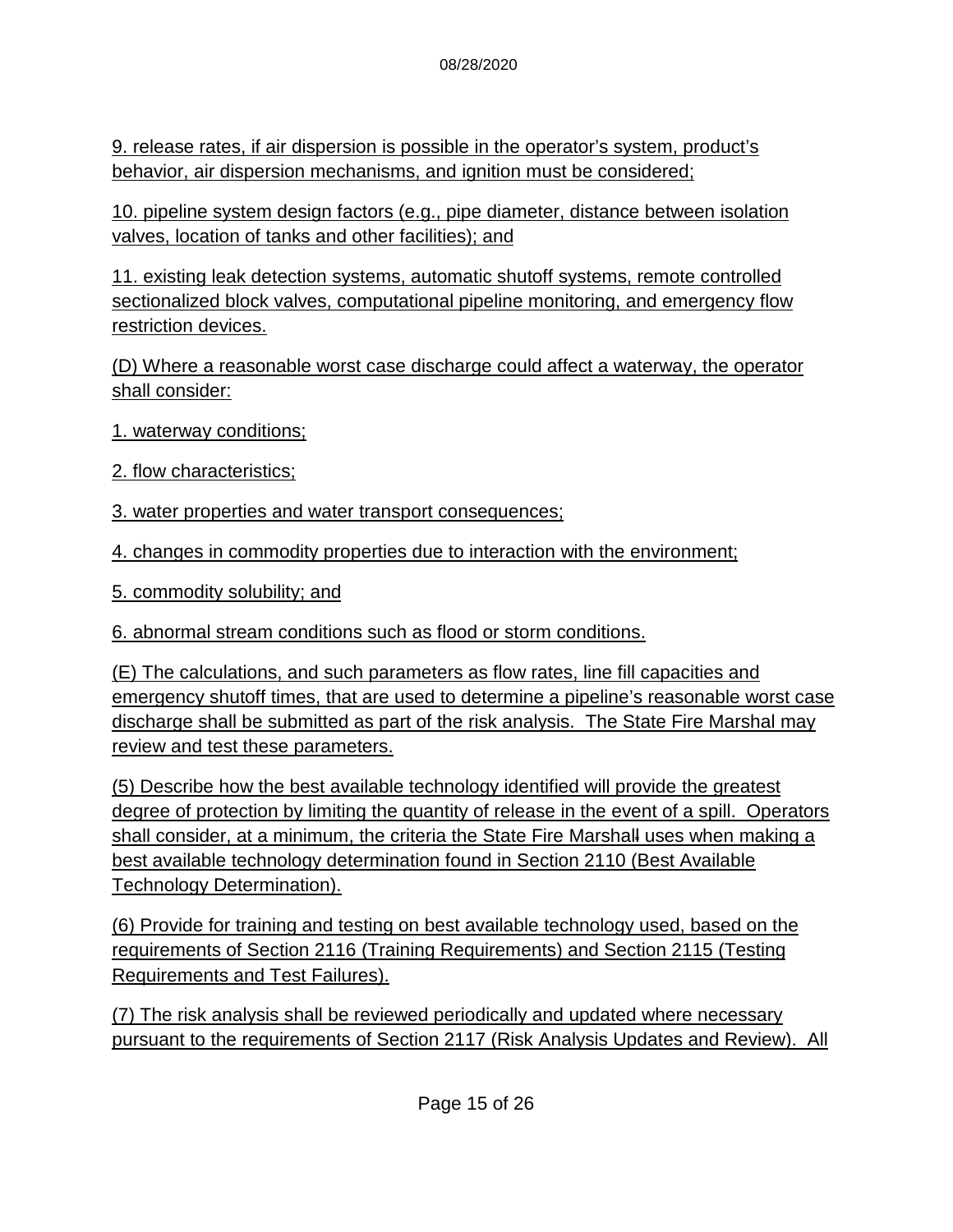9. release rates, if air dispersion is possible in the operator's system, product's behavior, air dispersion mechanisms, and ignition must be considered;

10. pipeline system design factors (e.g., pipe diameter, distance between isolation valves, location of tanks and other facilities); and

11. existing leak detection systems, automatic shutoff systems, remote controlled sectionalized block valves, computational pipeline monitoring, and emergency flow restriction devices.

(D) Where a reasonable worst case discharge could affect a waterway, the operator shall consider:

1. waterway conditions;

2. flow characteristics;

3. water properties and water transport consequences;

4. changes in commodity properties due to interaction with the environment;

5. commodity solubility; and

6. abnormal stream conditions such as flood or storm conditions.

(E) The calculations, and such parameters as flow rates, line fill capacities and emergency shutoff times, that are used to determine a pipeline's reasonable worst case discharge shall be submitted as part of the risk analysis. The State Fire Marshal may review and test these parameters.

(5) Describe how the best available technology identified will provide the greatest degree of protection by limiting the quantity of release in the event of a spill. Operators shall consider, at a minimum, the criteria the State Fire Marshall uses when making a best available technology determination found in Section 2110 (Best Available Technology Determination).

(6) Provide for training and testing on best available technology used, based on the requirements of Section 2116 (Training Requirements) and Section 2115 (Testing Requirements and Test Failures).

(7) The risk analysis shall be reviewed periodically and updated where necessary pursuant to the requirements of Section 2117 (Risk Analysis Updates and Review). All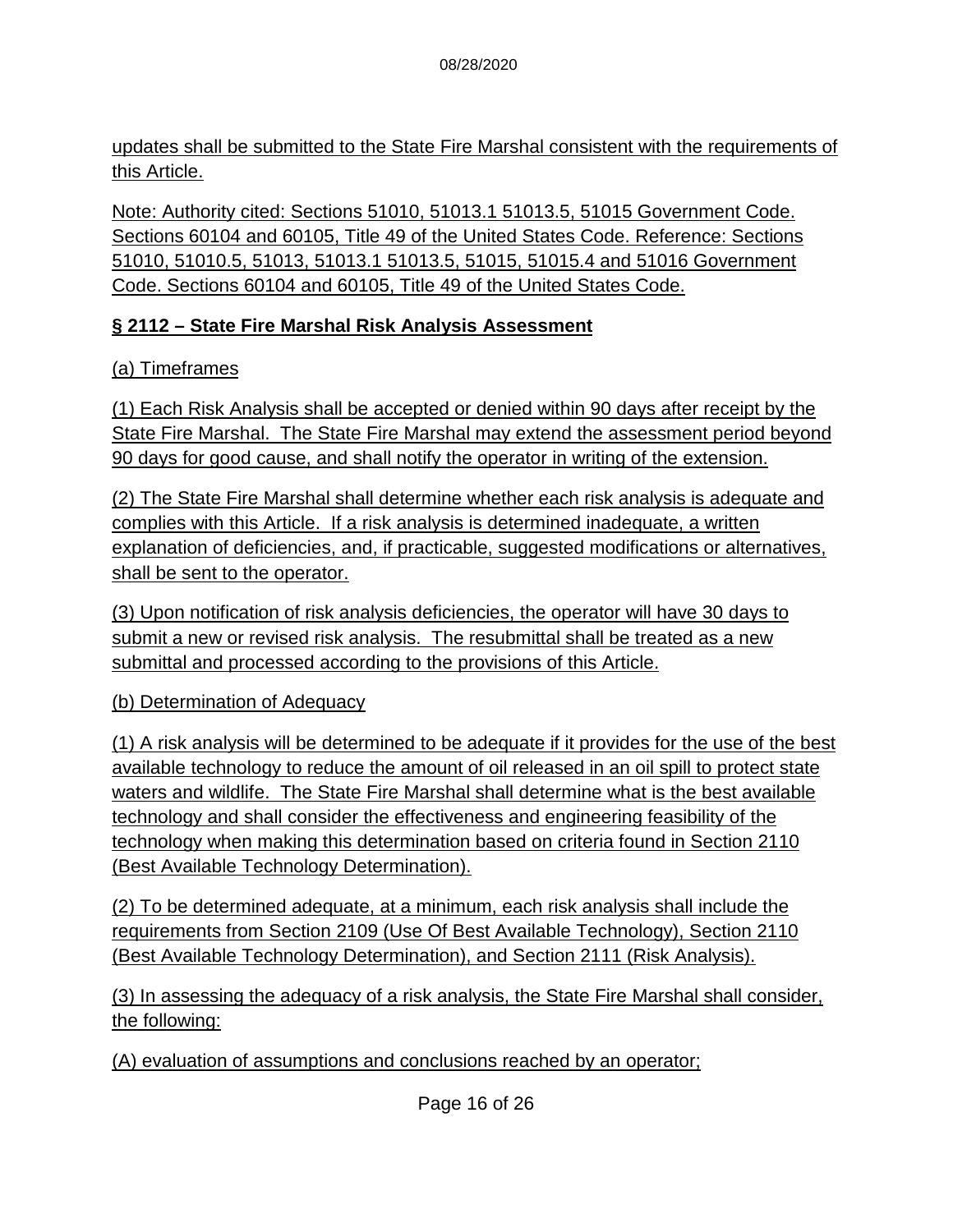updates shall be submitted to the State Fire Marshal consistent with the requirements of this Article.

Note: Authority cited: Sections 51010, 51013.1 51013.5, 51015 Government Code. Sections 60104 and 60105, Title 49 of the United States Code. Reference: Sections 51010, 51010.5, 51013, 51013.1 51013.5, 51015, 51015.4 and 51016 Government Code. Sections 60104 and 60105, Title 49 of the United States Code.

### **§ 2112 – State Fire Marshal Risk Analysis Assessment**

(a) Timeframes

(1) Each Risk Analysis shall be accepted or denied within 90 days after receipt by the State Fire Marshal. The State Fire Marshal may extend the assessment period beyond 90 days for good cause, and shall notify the operator in writing of the extension.

(2) The State Fire Marshal shall determine whether each risk analysis is adequate and complies with this Article. If a risk analysis is determined inadequate, a written explanation of deficiencies, and, if practicable, suggested modifications or alternatives, shall be sent to the operator.

(3) Upon notification of risk analysis deficiencies, the operator will have 30 days to submit a new or revised risk analysis. The resubmittal shall be treated as a new submittal and processed according to the provisions of this Article.

#### (b) Determination of Adequacy

(1) A risk analysis will be determined to be adequate if it provides for the use of the best available technology to reduce the amount of oil released in an oil spill to protect state waters and wildlife. The State Fire Marshal shall determine what is the best available technology and shall consider the effectiveness and engineering feasibility of the technology when making this determination based on criteria found in Section 2110 (Best Available Technology Determination).

(2) To be determined adequate, at a minimum, each risk analysis shall include the requirements from Section 2109 (Use Of Best Available Technology), Section 2110 (Best Available Technology Determination), and Section 2111 (Risk Analysis).

(3) In assessing the adequacy of a risk analysis, the State Fire Marshal shall consider, the following:

(A) evaluation of assumptions and conclusions reached by an operator;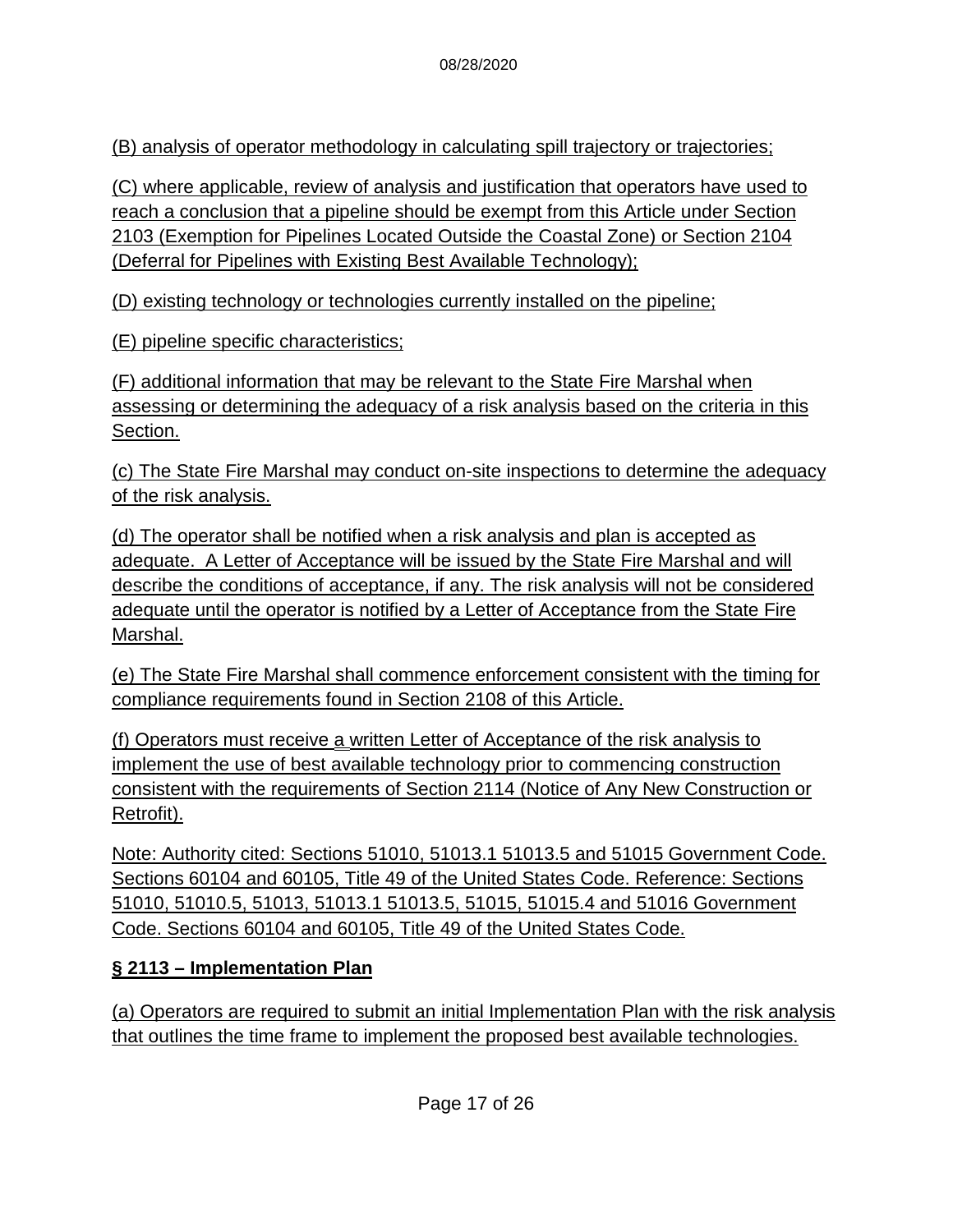(B) analysis of operator methodology in calculating spill trajectory or trajectories;

(C) where applicable, review of analysis and justification that operators have used to reach a conclusion that a pipeline should be exempt from this Article under Section 2103 (Exemption for Pipelines Located Outside the Coastal Zone) or Section 2104 (Deferral for Pipelines with Existing Best Available Technology);

(D) existing technology or technologies currently installed on the pipeline;

(E) pipeline specific characteristics;

(F) additional information that may be relevant to the State Fire Marshal when assessing or determining the adequacy of a risk analysis based on the criteria in this Section.

(c) The State Fire Marshal may conduct on-site inspections to determine the adequacy of the risk analysis.

(d) The operator shall be notified when a risk analysis and plan is accepted as adequate. A Letter of Acceptance will be issued by the State Fire Marshal and will describe the conditions of acceptance, if any. The risk analysis will not be considered adequate until the operator is notified by a Letter of Acceptance from the State Fire Marshal.

(e) The State Fire Marshal shall commence enforcement consistent with the timing for compliance requirements found in Section 2108 of this Article.

(f) Operators must receive a written Letter of Acceptance of the risk analysis to implement the use of best available technology prior to commencing construction consistent with the requirements of Section 2114 (Notice of Any New Construction or Retrofit).

Note: Authority cited: Sections 51010, 51013.1 51013.5 and 51015 Government Code. Sections 60104 and 60105, Title 49 of the United States Code. Reference: Sections 51010, 51010.5, 51013, 51013.1 51013.5, 51015, 51015.4 and 51016 Government Code. Sections 60104 and 60105, Title 49 of the United States Code.

## **§ 2113 – Implementation Plan**

(a) Operators are required to submit an initial Implementation Plan with the risk analysis that outlines the time frame to implement the proposed best available technologies.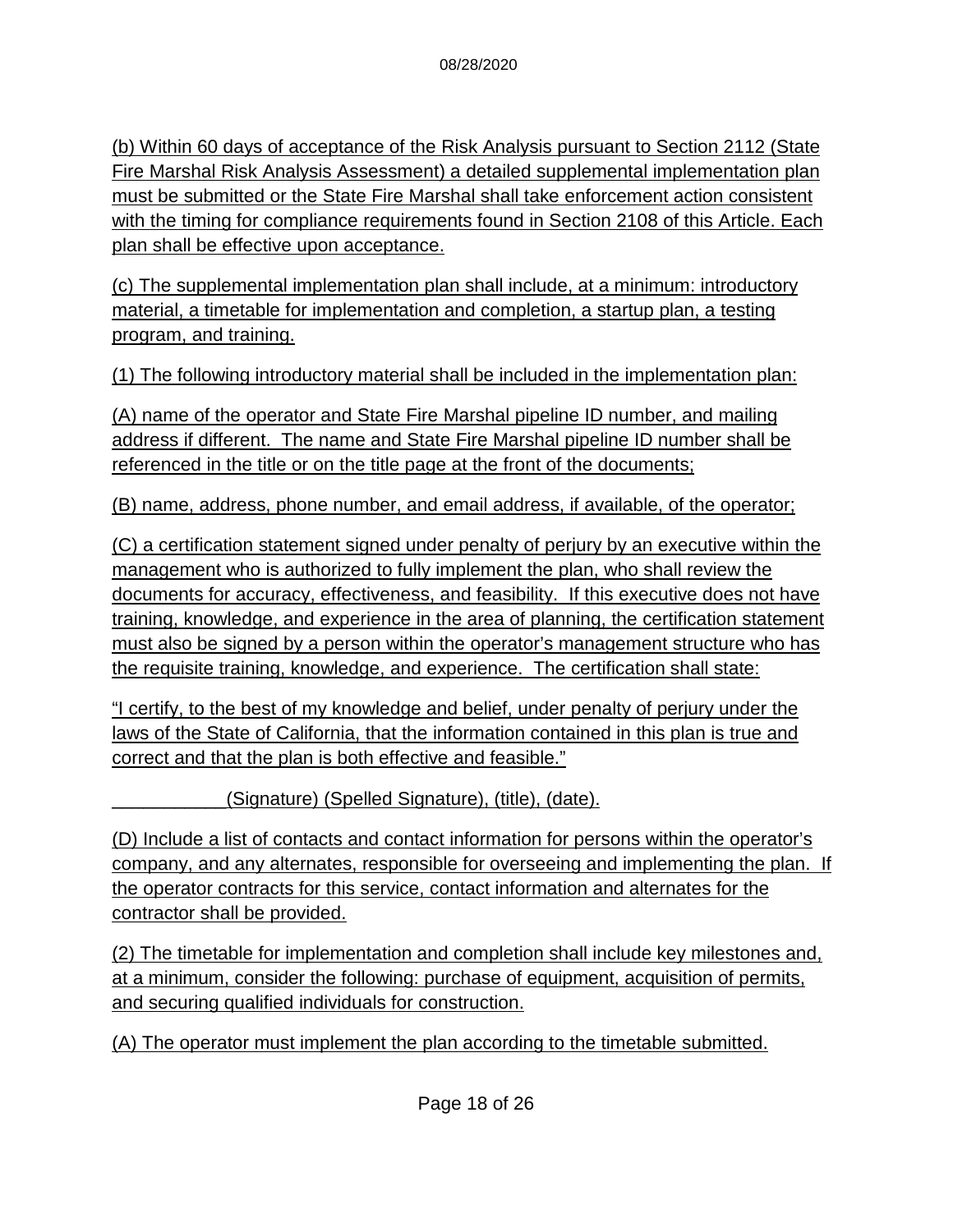(b) Within 60 days of acceptance of the Risk Analysis pursuant to Section 2112 (State Fire Marshal Risk Analysis Assessment) a detailed supplemental implementation plan must be submitted or the State Fire Marshal shall take enforcement action consistent with the timing for compliance requirements found in Section 2108 of this Article. Each plan shall be effective upon acceptance.

(c) The supplemental implementation plan shall include, at a minimum: introductory material, a timetable for implementation and completion, a startup plan, a testing program, and training.

(1) The following introductory material shall be included in the implementation plan:

(A) name of the operator and State Fire Marshal pipeline ID number, and mailing address if different. The name and State Fire Marshal pipeline ID number shall be referenced in the title or on the title page at the front of the documents;

(B) name, address, phone number, and email address, if available, of the operator;

(C) a certification statement signed under penalty of perjury by an executive within the management who is authorized to fully implement the plan, who shall review the documents for accuracy, effectiveness, and feasibility. If this executive does not have training, knowledge, and experience in the area of planning, the certification statement must also be signed by a person within the operator's management structure who has the requisite training, knowledge, and experience. The certification shall state:

"I certify, to the best of my knowledge and belief, under penalty of perjury under the laws of the State of California, that the information contained in this plan is true and correct and that the plan is both effective and feasible."

\_\_\_\_\_\_\_\_\_\_\_(Signature) (Spelled Signature), (title), (date).

(D) Include a list of contacts and contact information for persons within the operator's company, and any alternates, responsible for overseeing and implementing the plan. If the operator contracts for this service, contact information and alternates for the contractor shall be provided.

(2) The timetable for implementation and completion shall include key milestones and, at a minimum, consider the following: purchase of equipment, acquisition of permits, and securing qualified individuals for construction.

(A) The operator must implement the plan according to the timetable submitted.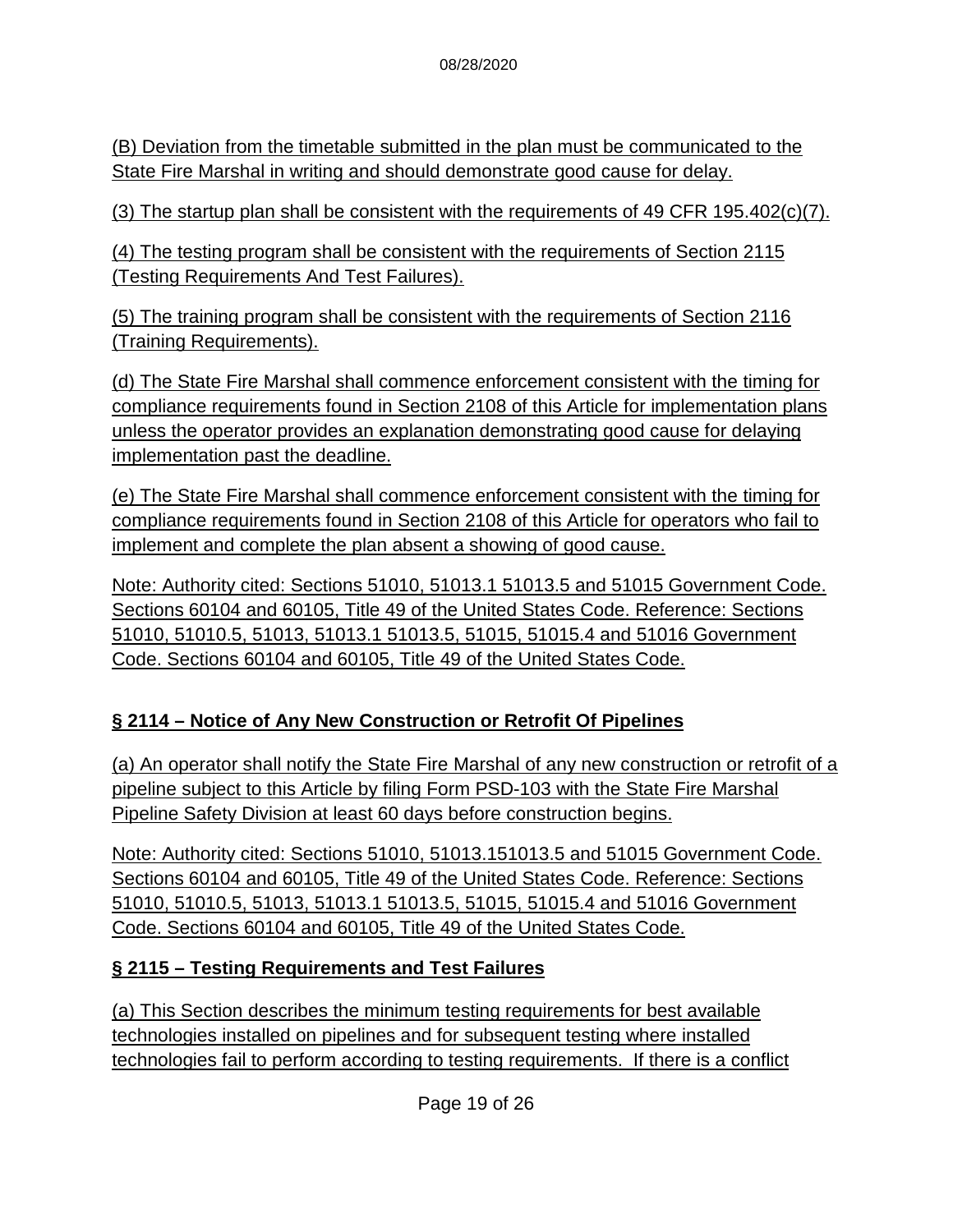(B) Deviation from the timetable submitted in the plan must be communicated to the State Fire Marshal in writing and should demonstrate good cause for delay.

(3) The startup plan shall be consistent with the requirements of 49 CFR 195.402 $(c)(7)$ .

(4) The testing program shall be consistent with the requirements of Section 2115 (Testing Requirements And Test Failures).

(5) The training program shall be consistent with the requirements of Section 2116 (Training Requirements).

(d) The State Fire Marshal shall commence enforcement consistent with the timing for compliance requirements found in Section 2108 of this Article for implementation plans unless the operator provides an explanation demonstrating good cause for delaying implementation past the deadline.

(e) The State Fire Marshal shall commence enforcement consistent with the timing for compliance requirements found in Section 2108 of this Article for operators who fail to implement and complete the plan absent a showing of good cause.

Note: Authority cited: Sections 51010, 51013.1 51013.5 and 51015 Government Code. Sections 60104 and 60105, Title 49 of the United States Code. Reference: Sections 51010, 51010.5, 51013, 51013.1 51013.5, 51015, 51015.4 and 51016 Government Code. Sections 60104 and 60105, Title 49 of the United States Code.

## **§ 2114 – Notice of Any New Construction or Retrofit Of Pipelines**

(a) An operator shall notify the State Fire Marshal of any new construction or retrofit of a pipeline subject to this Article by filing Form PSD-103 with the State Fire Marshal Pipeline Safety Division at least 60 days before construction begins.

Note: Authority cited: Sections 51010, 51013.151013.5 and 51015 Government Code. Sections 60104 and 60105, Title 49 of the United States Code. Reference: Sections 51010, 51010.5, 51013, 51013.1 51013.5, 51015, 51015.4 and 51016 Government Code. Sections 60104 and 60105, Title 49 of the United States Code.

## **§ 2115 – Testing Requirements and Test Failures**

(a) This Section describes the minimum testing requirements for best available technologies installed on pipelines and for subsequent testing where installed technologies fail to perform according to testing requirements. If there is a conflict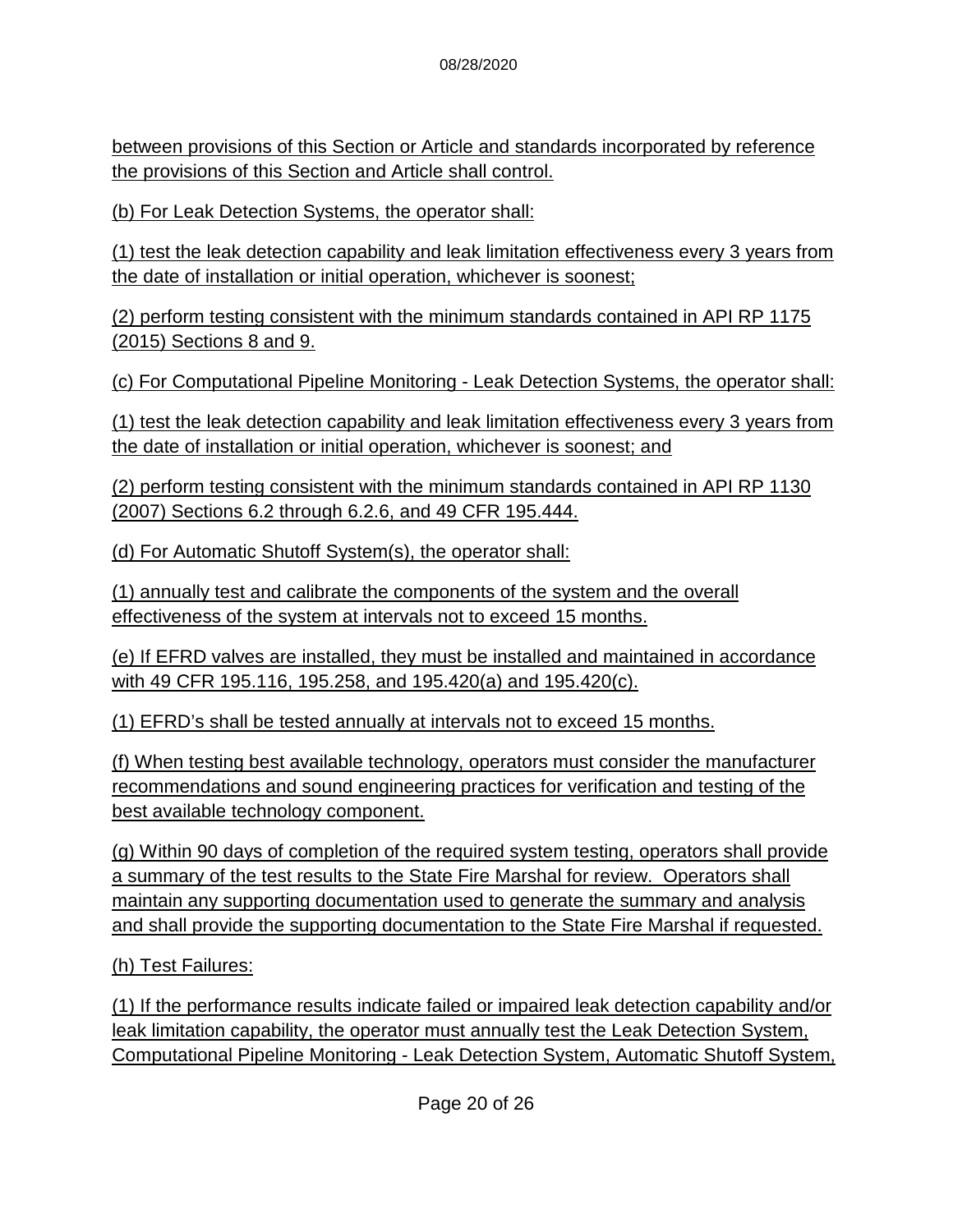between provisions of this Section or Article and standards incorporated by reference the provisions of this Section and Article shall control.

(b) For Leak Detection Systems, the operator shall:

(1) test the leak detection capability and leak limitation effectiveness every 3 years from the date of installation or initial operation, whichever is soonest;

(2) perform testing consistent with the minimum standards contained in API RP 1175 (2015) Sections 8 and 9.

(c) For Computational Pipeline Monitoring - Leak Detection Systems, the operator shall:

(1) test the leak detection capability and leak limitation effectiveness every 3 years from the date of installation or initial operation, whichever is soonest; and

(2) perform testing consistent with the minimum standards contained in API RP 1130 (2007) Sections 6.2 through 6.2.6, and 49 CFR 195.444.

(d) For Automatic Shutoff System(s), the operator shall:

(1) annually test and calibrate the components of the system and the overall effectiveness of the system at intervals not to exceed 15 months.

(e) If EFRD valves are installed, they must be installed and maintained in accordance with 49 CFR 195.116, 195.258, and 195.420(a) and 195.420(c).

(1) EFRD's shall be tested annually at intervals not to exceed 15 months.

(f) When testing best available technology, operators must consider the manufacturer recommendations and sound engineering practices for verification and testing of the best available technology component.

(g) Within 90 days of completion of the required system testing, operators shall provide a summary of the test results to the State Fire Marshal for review. Operators shall maintain any supporting documentation used to generate the summary and analysis and shall provide the supporting documentation to the State Fire Marshal if requested.

(h) Test Failures:

(1) If the performance results indicate failed or impaired leak detection capability and/or leak limitation capability, the operator must annually test the Leak Detection System, Computational Pipeline Monitoring - Leak Detection System, Automatic Shutoff System,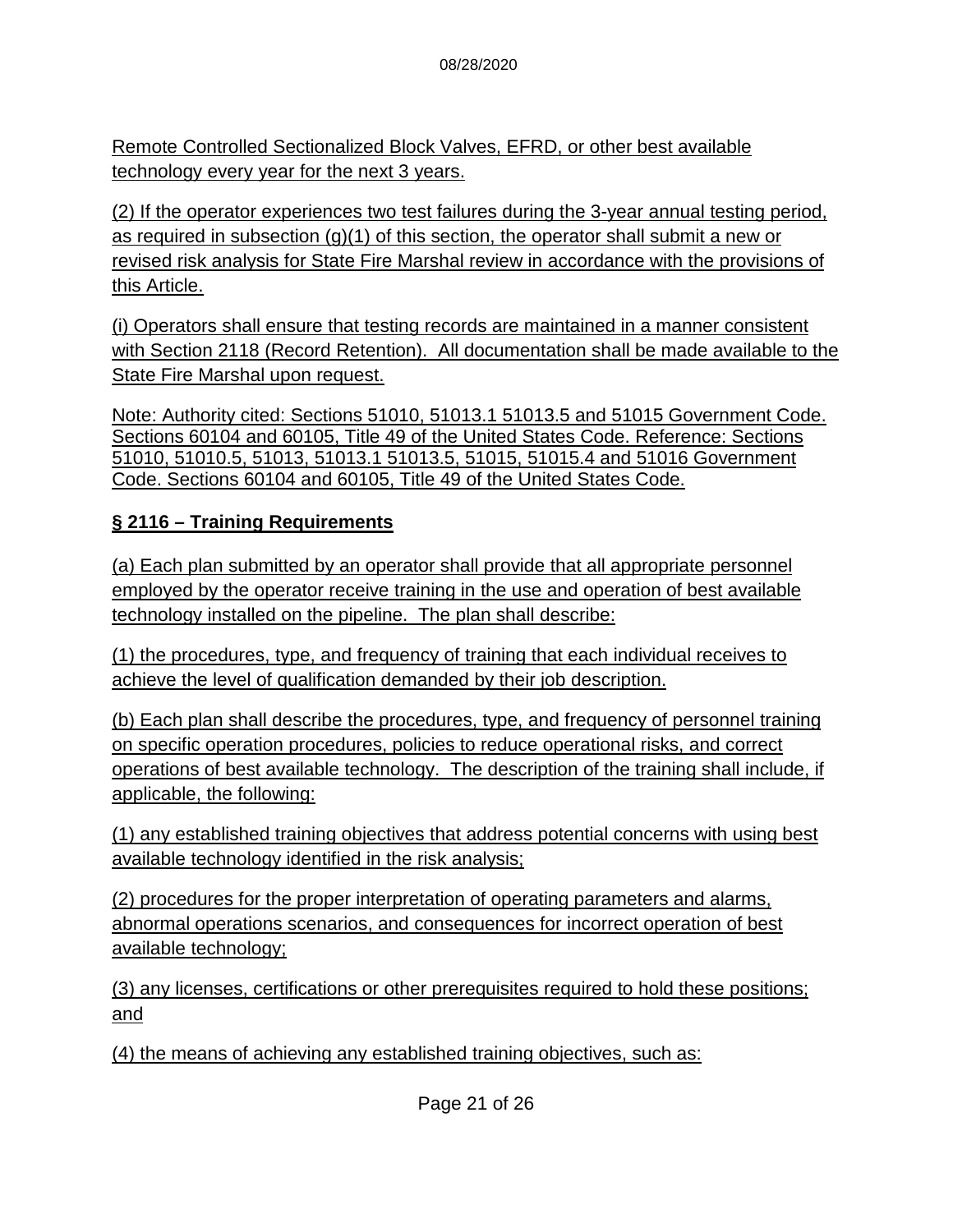Remote Controlled Sectionalized Block Valves, EFRD, or other best available technology every year for the next 3 years.

(2) If the operator experiences two test failures during the 3-year annual testing period, as required in subsection (g)(1) of this section, the operator shall submit a new or revised risk analysis for State Fire Marshal review in accordance with the provisions of this Article.

(i) Operators shall ensure that testing records are maintained in a manner consistent with Section 2118 (Record Retention). All documentation shall be made available to the State Fire Marshal upon request.

Note: Authority cited: Sections 51010, 51013.1 51013.5 and 51015 Government Code. Sections 60104 and 60105, Title 49 of the United States Code. Reference: Sections 51010, 51010.5, 51013, 51013.1 51013.5, 51015, 51015.4 and 51016 Government Code. Sections 60104 and 60105, Title 49 of the United States Code.

#### **§ 2116 – Training Requirements**

(a) Each plan submitted by an operator shall provide that all appropriate personnel employed by the operator receive training in the use and operation of best available technology installed on the pipeline. The plan shall describe:

(1) the procedures, type, and frequency of training that each individual receives to achieve the level of qualification demanded by their job description.

(b) Each plan shall describe the procedures, type, and frequency of personnel training on specific operation procedures, policies to reduce operational risks, and correct operations of best available technology. The description of the training shall include, if applicable, the following:

(1) any established training objectives that address potential concerns with using best available technology identified in the risk analysis;

(2) procedures for the proper interpretation of operating parameters and alarms, abnormal operations scenarios, and consequences for incorrect operation of best available technology;

(3) any licenses, certifications or other prerequisites required to hold these positions; and

(4) the means of achieving any established training objectives, such as: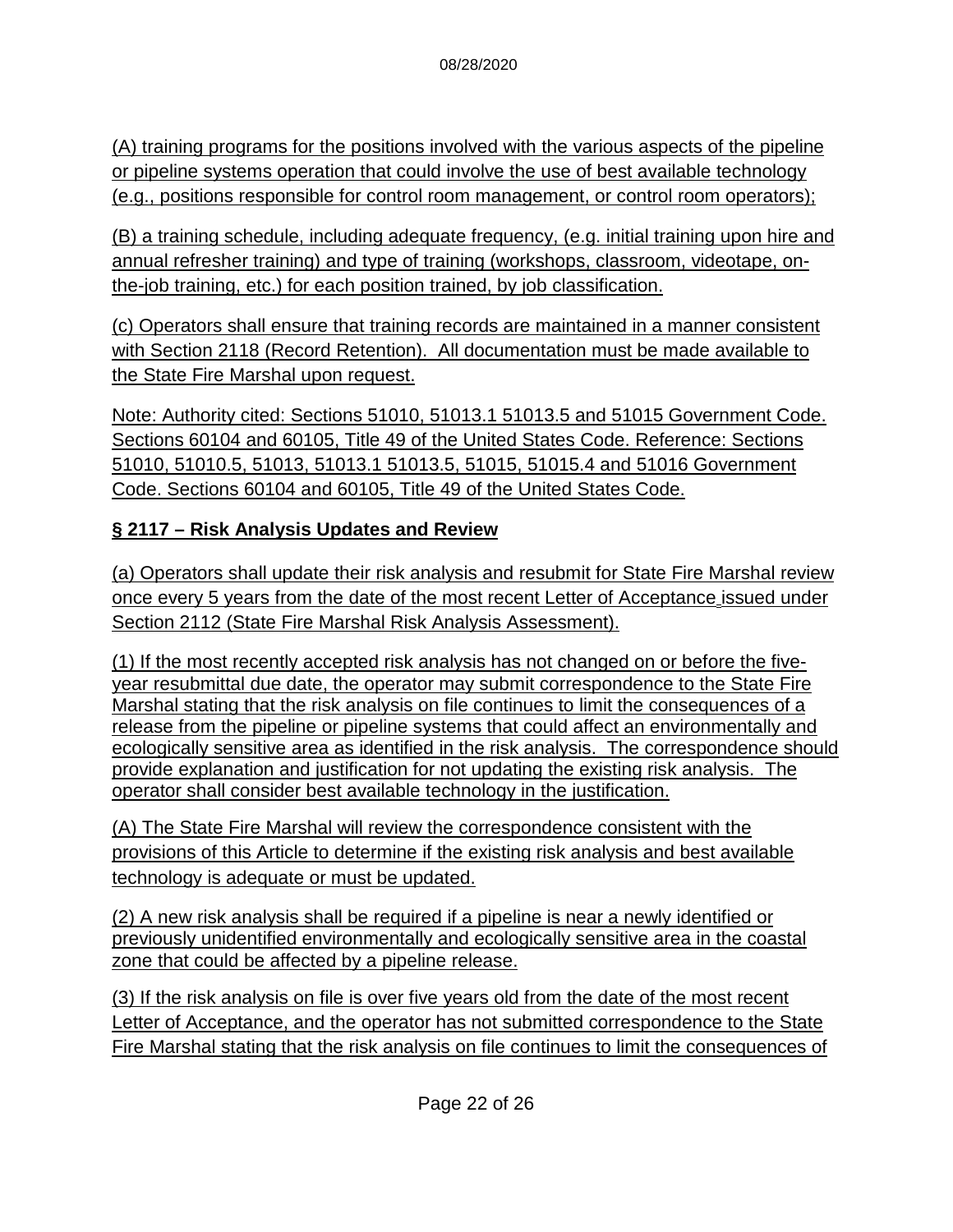(A) training programs for the positions involved with the various aspects of the pipeline or pipeline systems operation that could involve the use of best available technology (e.g., positions responsible for control room management, or control room operators);

(B) a training schedule, including adequate frequency, (e.g. initial training upon hire and annual refresher training) and type of training (workshops, classroom, videotape, onthe-job training, etc.) for each position trained, by job classification.

(c) Operators shall ensure that training records are maintained in a manner consistent with Section 2118 (Record Retention). All documentation must be made available to the State Fire Marshal upon request.

Note: Authority cited: Sections 51010, 51013.1 51013.5 and 51015 Government Code. Sections 60104 and 60105, Title 49 of the United States Code. Reference: Sections 51010, 51010.5, 51013, 51013.1 51013.5, 51015, 51015.4 and 51016 Government Code. Sections 60104 and 60105, Title 49 of the United States Code.

## **§ 2117 – Risk Analysis Updates and Review**

(a) Operators shall update their risk analysis and resubmit for State Fire Marshal review once every 5 years from the date of the most recent Letter of Acceptance issued under Section 2112 (State Fire Marshal Risk Analysis Assessment).

(1) If the most recently accepted risk analysis has not changed on or before the fiveyear resubmittal due date, the operator may submit correspondence to the State Fire Marshal stating that the risk analysis on file continues to limit the consequences of a release from the pipeline or pipeline systems that could affect an environmentally and ecologically sensitive area as identified in the risk analysis. The correspondence should provide explanation and justification for not updating the existing risk analysis. The operator shall consider best available technology in the justification.

(A) The State Fire Marshal will review the correspondence consistent with the provisions of this Article to determine if the existing risk analysis and best available technology is adequate or must be updated.

(2) A new risk analysis shall be required if a pipeline is near a newly identified or previously unidentified environmentally and ecologically sensitive area in the coastal zone that could be affected by a pipeline release.

(3) If the risk analysis on file is over five years old from the date of the most recent Letter of Acceptance, and the operator has not submitted correspondence to the State Fire Marshal stating that the risk analysis on file continues to limit the consequences of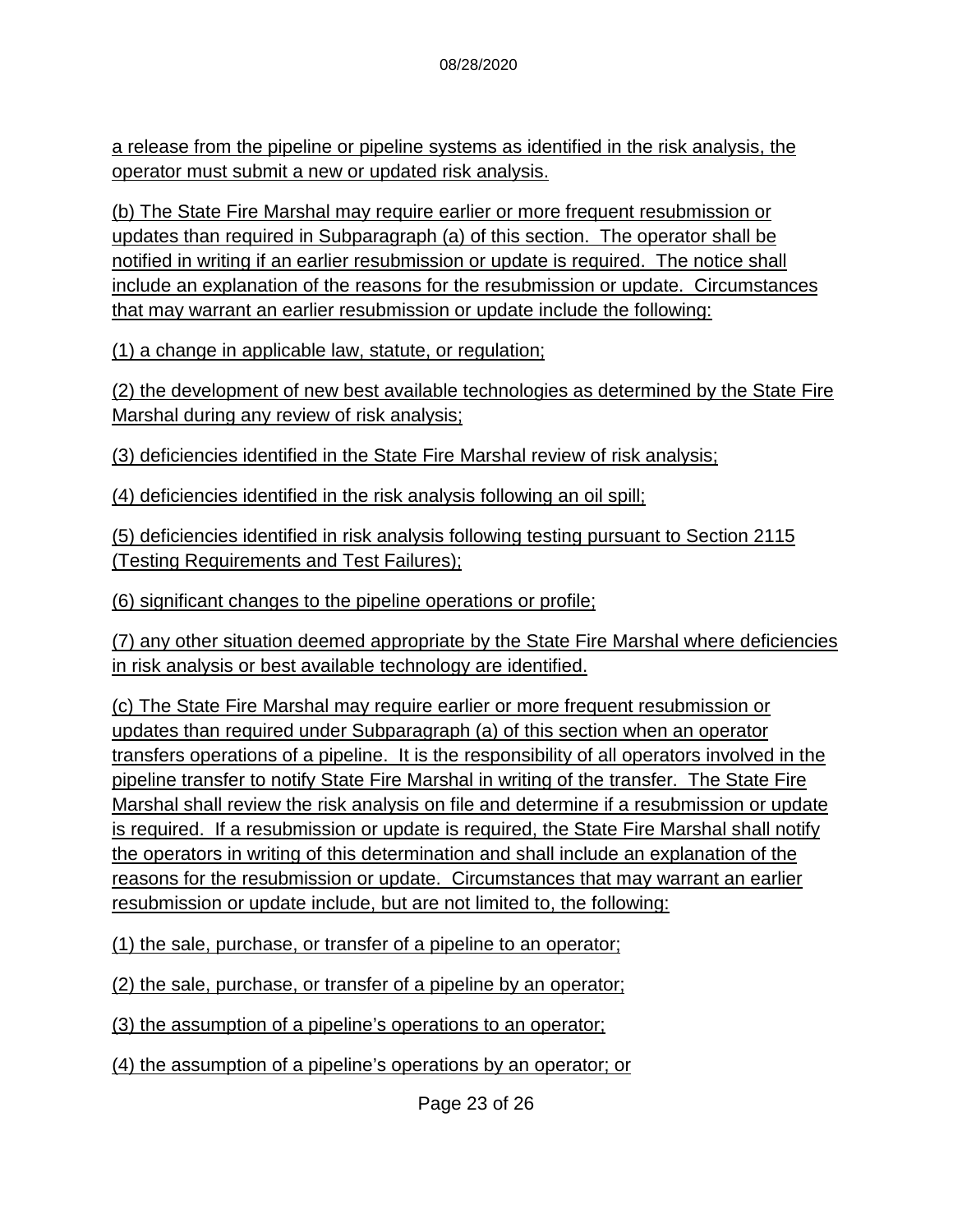a release from the pipeline or pipeline systems as identified in the risk analysis, the operator must submit a new or updated risk analysis.

(b) The State Fire Marshal may require earlier or more frequent resubmission or updates than required in Subparagraph (a) of this section. The operator shall be notified in writing if an earlier resubmission or update is required. The notice shall include an explanation of the reasons for the resubmission or update. Circumstances that may warrant an earlier resubmission or update include the following:

(1) a change in applicable law, statute, or regulation;

(2) the development of new best available technologies as determined by the State Fire Marshal during any review of risk analysis;

(3) deficiencies identified in the State Fire Marshal review of risk analysis;

(4) deficiencies identified in the risk analysis following an oil spill;

(5) deficiencies identified in risk analysis following testing pursuant to Section 2115 (Testing Requirements and Test Failures);

(6) significant changes to the pipeline operations or profile;

(7) any other situation deemed appropriate by the State Fire Marshal where deficiencies in risk analysis or best available technology are identified.

(c) The State Fire Marshal may require earlier or more frequent resubmission or updates than required under Subparagraph (a) of this section when an operator transfers operations of a pipeline. It is the responsibility of all operators involved in the pipeline transfer to notify State Fire Marshal in writing of the transfer. The State Fire Marshal shall review the risk analysis on file and determine if a resubmission or update is required. If a resubmission or update is required, the State Fire Marshal shall notify the operators in writing of this determination and shall include an explanation of the reasons for the resubmission or update. Circumstances that may warrant an earlier resubmission or update include, but are not limited to, the following:

(1) the sale, purchase, or transfer of a pipeline to an operator;

(2) the sale, purchase, or transfer of a pipeline by an operator;

(3) the assumption of a pipeline's operations to an operator;

(4) the assumption of a pipeline's operations by an operator; or

Page 23 of 26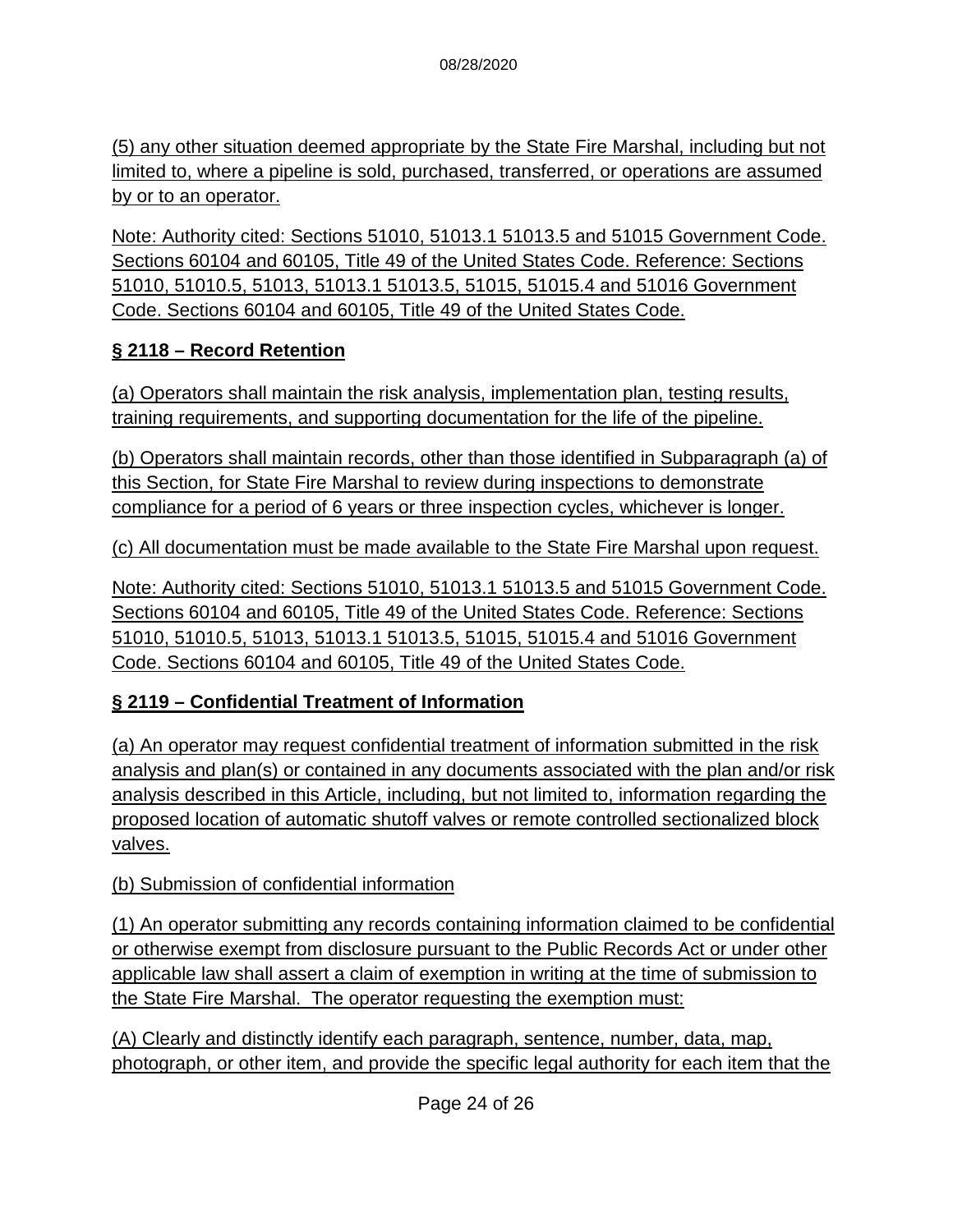(5) any other situation deemed appropriate by the State Fire Marshal, including but not limited to, where a pipeline is sold, purchased, transferred, or operations are assumed by or to an operator.

Note: Authority cited: Sections 51010, 51013.1 51013.5 and 51015 Government Code. Sections 60104 and 60105, Title 49 of the United States Code. Reference: Sections 51010, 51010.5, 51013, 51013.1 51013.5, 51015, 51015.4 and 51016 Government Code. Sections 60104 and 60105, Title 49 of the United States Code.

### **§ 2118 – Record Retention**

(a) Operators shall maintain the risk analysis, implementation plan, testing results, training requirements, and supporting documentation for the life of the pipeline.

(b) Operators shall maintain records, other than those identified in Subparagraph (a) of this Section, for State Fire Marshal to review during inspections to demonstrate compliance for a period of 6 years or three inspection cycles, whichever is longer.

(c) All documentation must be made available to the State Fire Marshal upon request.

Note: Authority cited: Sections 51010, 51013.1 51013.5 and 51015 Government Code. Sections 60104 and 60105, Title 49 of the United States Code. Reference: Sections 51010, 51010.5, 51013, 51013.1 51013.5, 51015, 51015.4 and 51016 Government Code. Sections 60104 and 60105, Title 49 of the United States Code.

### **§ 2119 – Confidential Treatment of Information**

(a) An operator may request confidential treatment of information submitted in the risk analysis and plan(s) or contained in any documents associated with the plan and/or risk analysis described in this Article, including, but not limited to, information regarding the proposed location of automatic shutoff valves or remote controlled sectionalized block valves.

#### (b) Submission of confidential information

(1) An operator submitting any records containing information claimed to be confidential or otherwise exempt from disclosure pursuant to the Public Records Act or under other applicable law shall assert a claim of exemption in writing at the time of submission to the State Fire Marshal. The operator requesting the exemption must:

(A) Clearly and distinctly identify each paragraph, sentence, number, data, map, photograph, or other item, and provide the specific legal authority for each item that the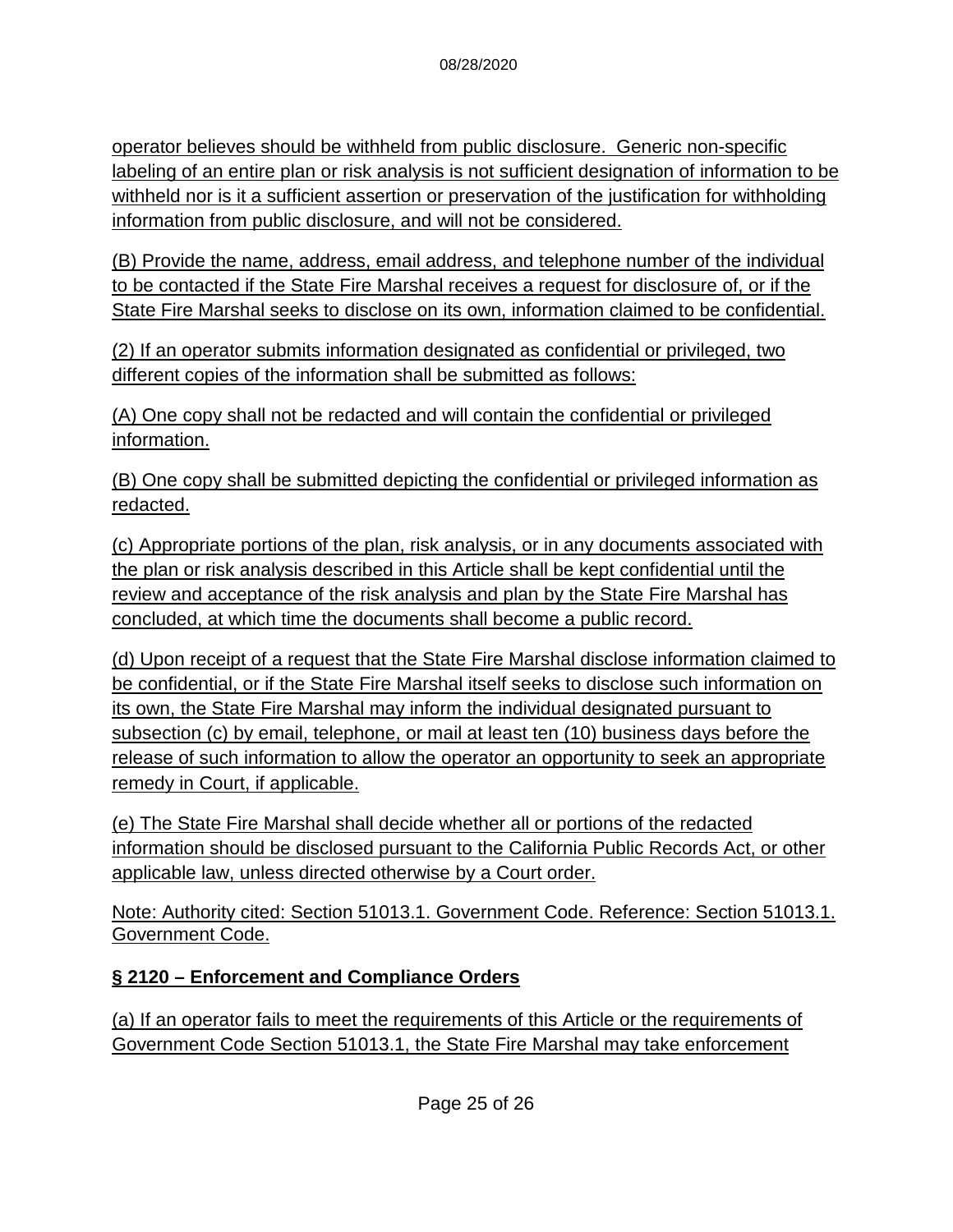operator believes should be withheld from public disclosure. Generic non-specific labeling of an entire plan or risk analysis is not sufficient designation of information to be withheld nor is it a sufficient assertion or preservation of the justification for withholding information from public disclosure, and will not be considered.

(B) Provide the name, address, email address, and telephone number of the individual to be contacted if the State Fire Marshal receives a request for disclosure of, or if the State Fire Marshal seeks to disclose on its own, information claimed to be confidential.

(2) If an operator submits information designated as confidential or privileged, two different copies of the information shall be submitted as follows:

(A) One copy shall not be redacted and will contain the confidential or privileged information.

(B) One copy shall be submitted depicting the confidential or privileged information as redacted.

(c) Appropriate portions of the plan, risk analysis, or in any documents associated with the plan or risk analysis described in this Article shall be kept confidential until the review and acceptance of the risk analysis and plan by the State Fire Marshal has concluded, at which time the documents shall become a public record.

(d) Upon receipt of a request that the State Fire Marshal disclose information claimed to be confidential, or if the State Fire Marshal itself seeks to disclose such information on its own, the State Fire Marshal may inform the individual designated pursuant to subsection (c) by email, telephone, or mail at least ten (10) business days before the release of such information to allow the operator an opportunity to seek an appropriate remedy in Court, if applicable.

(e) The State Fire Marshal shall decide whether all or portions of the redacted information should be disclosed pursuant to the California Public Records Act, or other applicable law, unless directed otherwise by a Court order.

Note: Authority cited: Section 51013.1. Government Code. Reference: Section 51013.1. Government Code.

### **§ 2120 – Enforcement and Compliance Orders**

(a) If an operator fails to meet the requirements of this Article or the requirements of Government Code Section 51013.1, the State Fire Marshal may take enforcement